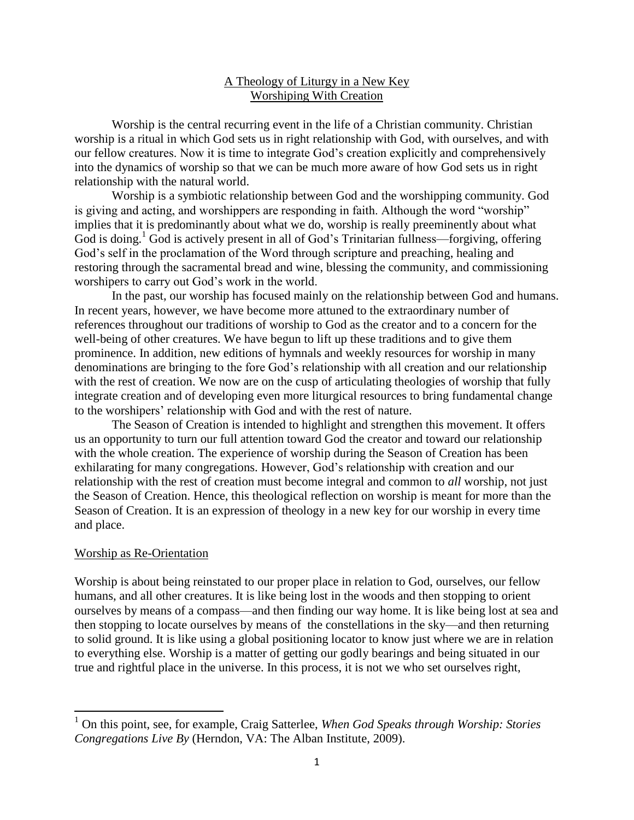# A Theology of Liturgy in a New Key Worshiping With Creation

Worship is the central recurring event in the life of a Christian community. Christian worship is a ritual in which God sets us in right relationship with God, with ourselves, and with our fellow creatures. Now it is time to integrate God"s creation explicitly and comprehensively into the dynamics of worship so that we can be much more aware of how God sets us in right relationship with the natural world.

Worship is a symbiotic relationship between God and the worshipping community. God is giving and acting, and worshippers are responding in faith. Although the word "worship" implies that it is predominantly about what we do, worship is really preeminently about what God is doing.<sup>1</sup> God is actively present in all of God's Trinitarian fullness—forgiving, offering God"s self in the proclamation of the Word through scripture and preaching, healing and restoring through the sacramental bread and wine, blessing the community, and commissioning worshipers to carry out God"s work in the world.

In the past, our worship has focused mainly on the relationship between God and humans. In recent years, however, we have become more attuned to the extraordinary number of references throughout our traditions of worship to God as the creator and to a concern for the well-being of other creatures. We have begun to lift up these traditions and to give them prominence. In addition, new editions of hymnals and weekly resources for worship in many denominations are bringing to the fore God"s relationship with all creation and our relationship with the rest of creation. We now are on the cusp of articulating theologies of worship that fully integrate creation and of developing even more liturgical resources to bring fundamental change to the worshipers" relationship with God and with the rest of nature.

The Season of Creation is intended to highlight and strengthen this movement. It offers us an opportunity to turn our full attention toward God the creator and toward our relationship with the whole creation. The experience of worship during the Season of Creation has been exhilarating for many congregations. However, God's relationship with creation and our relationship with the rest of creation must become integral and common to *all* worship, not just the Season of Creation. Hence, this theological reflection on worship is meant for more than the Season of Creation. It is an expression of theology in a new key for our worship in every time and place.

### Worship as Re-Orientation

 $\overline{\phantom{a}}$ 

Worship is about being reinstated to our proper place in relation to God, ourselves, our fellow humans, and all other creatures. It is like being lost in the woods and then stopping to orient ourselves by means of a compass—and then finding our way home. It is like being lost at sea and then stopping to locate ourselves by means of the constellations in the sky—and then returning to solid ground. It is like using a global positioning locator to know just where we are in relation to everything else. Worship is a matter of getting our godly bearings and being situated in our true and rightful place in the universe. In this process, it is not we who set ourselves right,

<sup>1</sup> On this point, see, for example, Craig Satterlee, *When God Speaks through Worship: Stories Congregations Live By* (Herndon, VA: The Alban Institute, 2009).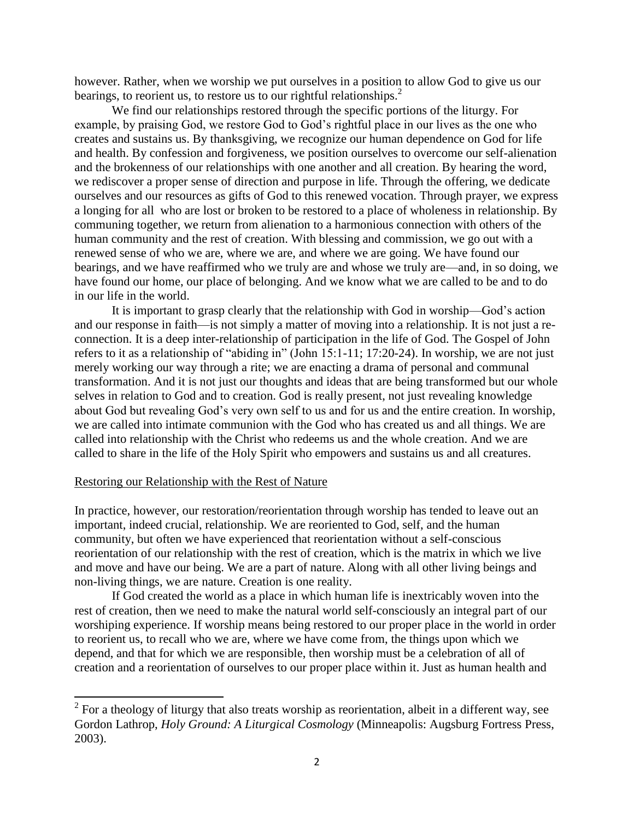however. Rather, when we worship we put ourselves in a position to allow God to give us our bearings, to reorient us, to restore us to our rightful relationships.<sup>2</sup>

We find our relationships restored through the specific portions of the liturgy. For example, by praising God, we restore God to God"s rightful place in our lives as the one who creates and sustains us. By thanksgiving, we recognize our human dependence on God for life and health. By confession and forgiveness, we position ourselves to overcome our self-alienation and the brokenness of our relationships with one another and all creation. By hearing the word, we rediscover a proper sense of direction and purpose in life. Through the offering, we dedicate ourselves and our resources as gifts of God to this renewed vocation. Through prayer, we express a longing for all who are lost or broken to be restored to a place of wholeness in relationship. By communing together, we return from alienation to a harmonious connection with others of the human community and the rest of creation. With blessing and commission, we go out with a renewed sense of who we are, where we are, and where we are going. We have found our bearings, and we have reaffirmed who we truly are and whose we truly are—and, in so doing, we have found our home, our place of belonging. And we know what we are called to be and to do in our life in the world.

It is important to grasp clearly that the relationship with God in worship—God"s action and our response in faith—is not simply a matter of moving into a relationship. It is not just a reconnection. It is a deep inter-relationship of participation in the life of God. The Gospel of John refers to it as a relationship of "abiding in" (John 15:1-11; 17:20-24). In worship, we are not just merely working our way through a rite; we are enacting a drama of personal and communal transformation. And it is not just our thoughts and ideas that are being transformed but our whole selves in relation to God and to creation. God is really present, not just revealing knowledge about God but revealing God"s very own self to us and for us and the entire creation. In worship, we are called into intimate communion with the God who has created us and all things. We are called into relationship with the Christ who redeems us and the whole creation. And we are called to share in the life of the Holy Spirit who empowers and sustains us and all creatures.

### Restoring our Relationship with the Rest of Nature

 $\overline{\phantom{a}}$ 

In practice, however, our restoration/reorientation through worship has tended to leave out an important, indeed crucial, relationship. We are reoriented to God, self, and the human community, but often we have experienced that reorientation without a self-conscious reorientation of our relationship with the rest of creation, which is the matrix in which we live and move and have our being. We are a part of nature. Along with all other living beings and non-living things, we are nature. Creation is one reality.

If God created the world as a place in which human life is inextricably woven into the rest of creation, then we need to make the natural world self-consciously an integral part of our worshiping experience. If worship means being restored to our proper place in the world in order to reorient us, to recall who we are, where we have come from, the things upon which we depend, and that for which we are responsible, then worship must be a celebration of all of creation and a reorientation of ourselves to our proper place within it. Just as human health and

 $2^2$  For a theology of liturgy that also treats worship as reorientation, albeit in a different way, see Gordon Lathrop, *Holy Ground: A Liturgical Cosmology* (Minneapolis: Augsburg Fortress Press, 2003).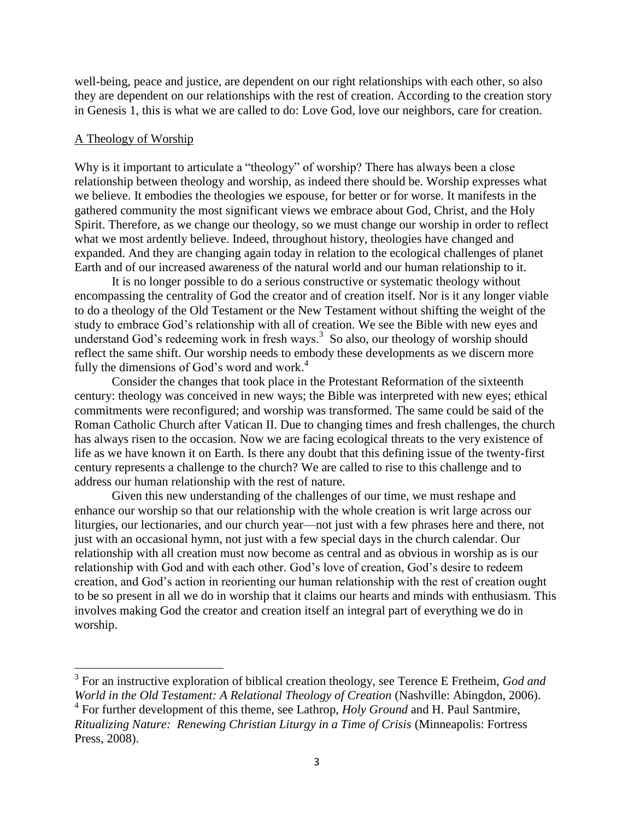well-being, peace and justice, are dependent on our right relationships with each other, so also they are dependent on our relationships with the rest of creation. According to the creation story in Genesis 1, this is what we are called to do: Love God, love our neighbors, care for creation.

### A Theology of Worship

Why is it important to articulate a "theology" of worship? There has always been a close relationship between theology and worship, as indeed there should be. Worship expresses what we believe. It embodies the theologies we espouse, for better or for worse. It manifests in the gathered community the most significant views we embrace about God, Christ, and the Holy Spirit. Therefore, as we change our theology, so we must change our worship in order to reflect what we most ardently believe. Indeed, throughout history, theologies have changed and expanded. And they are changing again today in relation to the ecological challenges of planet Earth and of our increased awareness of the natural world and our human relationship to it.

It is no longer possible to do a serious constructive or systematic theology without encompassing the centrality of God the creator and of creation itself. Nor is it any longer viable to do a theology of the Old Testament or the New Testament without shifting the weight of the study to embrace God"s relationship with all of creation. We see the Bible with new eyes and understand God's redeeming work in fresh ways.<sup>3</sup> So also, our theology of worship should reflect the same shift. Our worship needs to embody these developments as we discern more fully the dimensions of God's word and work.<sup>4</sup>

Consider the changes that took place in the Protestant Reformation of the sixteenth century: theology was conceived in new ways; the Bible was interpreted with new eyes; ethical commitments were reconfigured; and worship was transformed. The same could be said of the Roman Catholic Church after Vatican II. Due to changing times and fresh challenges, the church has always risen to the occasion. Now we are facing ecological threats to the very existence of life as we have known it on Earth. Is there any doubt that this defining issue of the twenty-first century represents a challenge to the church? We are called to rise to this challenge and to address our human relationship with the rest of nature.

Given this new understanding of the challenges of our time, we must reshape and enhance our worship so that our relationship with the whole creation is writ large across our liturgies, our lectionaries, and our church year—not just with a few phrases here and there, not just with an occasional hymn, not just with a few special days in the church calendar. Our relationship with all creation must now become as central and as obvious in worship as is our relationship with God and with each other. God"s love of creation, God"s desire to redeem creation, and God"s action in reorienting our human relationship with the rest of creation ought to be so present in all we do in worship that it claims our hearts and minds with enthusiasm. This involves making God the creator and creation itself an integral part of everything we do in worship.

 3 For an instructive exploration of biblical creation theology, see Terence E Fretheim, *God and World in the Old Testament: A Relational Theology of Creation* (Nashville: Abingdon, 2006).

<sup>&</sup>lt;sup>4</sup> For further development of this theme, see Lathrop, *Holy Ground* and H. Paul Santmire, *Ritualizing Nature: Renewing Christian Liturgy in a Time of Crisis* (Minneapolis: Fortress Press, 2008).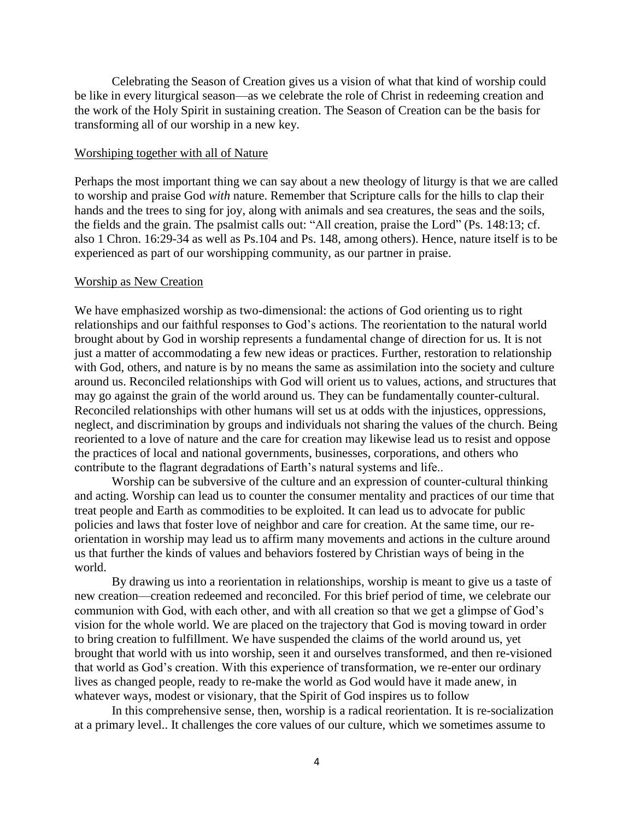Celebrating the Season of Creation gives us a vision of what that kind of worship could be like in every liturgical season—as we celebrate the role of Christ in redeeming creation and the work of the Holy Spirit in sustaining creation. The Season of Creation can be the basis for transforming all of our worship in a new key.

### Worshiping together with all of Nature

Perhaps the most important thing we can say about a new theology of liturgy is that we are called to worship and praise God *with* nature. Remember that Scripture calls for the hills to clap their hands and the trees to sing for joy, along with animals and sea creatures, the seas and the soils, the fields and the grain. The psalmist calls out: "All creation, praise the Lord" (Ps. 148:13; cf. also 1 Chron. 16:29-34 as well as Ps.104 and Ps. 148, among others). Hence, nature itself is to be experienced as part of our worshipping community, as our partner in praise.

#### Worship as New Creation

We have emphasized worship as two-dimensional: the actions of God orienting us to right relationships and our faithful responses to God"s actions. The reorientation to the natural world brought about by God in worship represents a fundamental change of direction for us. It is not just a matter of accommodating a few new ideas or practices. Further, restoration to relationship with God, others, and nature is by no means the same as assimilation into the society and culture around us. Reconciled relationships with God will orient us to values, actions, and structures that may go against the grain of the world around us. They can be fundamentally counter-cultural. Reconciled relationships with other humans will set us at odds with the injustices, oppressions, neglect, and discrimination by groups and individuals not sharing the values of the church. Being reoriented to a love of nature and the care for creation may likewise lead us to resist and oppose the practices of local and national governments, businesses, corporations, and others who contribute to the flagrant degradations of Earth"s natural systems and life..

Worship can be subversive of the culture and an expression of counter-cultural thinking and acting. Worship can lead us to counter the consumer mentality and practices of our time that treat people and Earth as commodities to be exploited. It can lead us to advocate for public policies and laws that foster love of neighbor and care for creation. At the same time, our reorientation in worship may lead us to affirm many movements and actions in the culture around us that further the kinds of values and behaviors fostered by Christian ways of being in the world.

By drawing us into a reorientation in relationships, worship is meant to give us a taste of new creation—creation redeemed and reconciled. For this brief period of time, we celebrate our communion with God, with each other, and with all creation so that we get a glimpse of God"s vision for the whole world. We are placed on the trajectory that God is moving toward in order to bring creation to fulfillment. We have suspended the claims of the world around us, yet brought that world with us into worship, seen it and ourselves transformed, and then re-visioned that world as God"s creation. With this experience of transformation, we re-enter our ordinary lives as changed people, ready to re-make the world as God would have it made anew, in whatever ways, modest or visionary, that the Spirit of God inspires us to follow

In this comprehensive sense, then, worship is a radical reorientation. It is re-socialization at a primary level.. It challenges the core values of our culture, which we sometimes assume to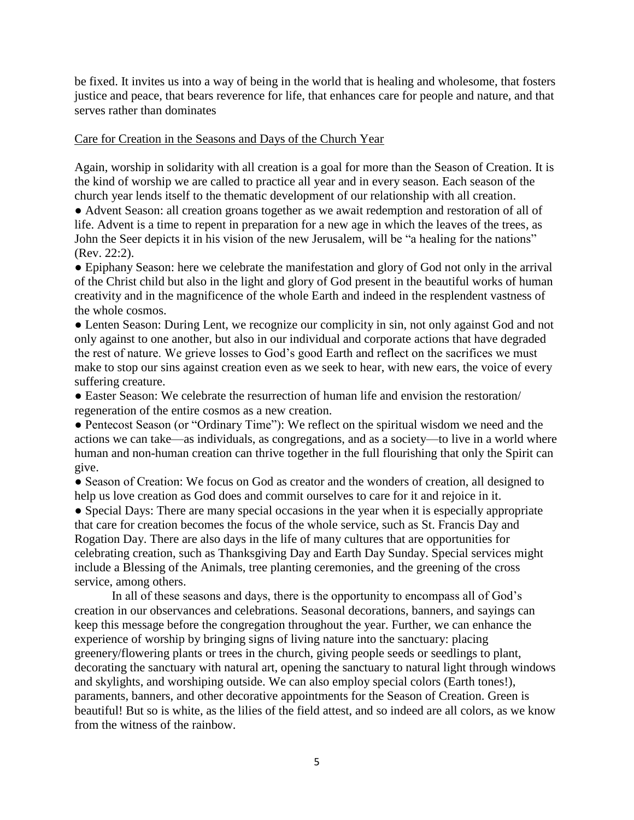be fixed. It invites us into a way of being in the world that is healing and wholesome, that fosters justice and peace, that bears reverence for life, that enhances care for people and nature, and that serves rather than dominates

### Care for Creation in the Seasons and Days of the Church Year

Again, worship in solidarity with all creation is a goal for more than the Season of Creation. It is the kind of worship we are called to practice all year and in every season. Each season of the church year lends itself to the thematic development of our relationship with all creation.

● Advent Season: all creation groans together as we await redemption and restoration of all of life. Advent is a time to repent in preparation for a new age in which the leaves of the trees, as John the Seer depicts it in his vision of the new Jerusalem, will be "a healing for the nations" (Rev. 22:2).

● Epiphany Season: here we celebrate the manifestation and glory of God not only in the arrival of the Christ child but also in the light and glory of God present in the beautiful works of human creativity and in the magnificence of the whole Earth and indeed in the resplendent vastness of the whole cosmos.

• Lenten Season: During Lent, we recognize our complicity in sin, not only against God and not only against to one another, but also in our individual and corporate actions that have degraded the rest of nature. We grieve losses to God"s good Earth and reflect on the sacrifices we must make to stop our sins against creation even as we seek to hear, with new ears, the voice of every suffering creature.

● Easter Season: We celebrate the resurrection of human life and envision the restoration/ regeneration of the entire cosmos as a new creation.

• Pentecost Season (or "Ordinary Time"): We reflect on the spiritual wisdom we need and the actions we can take—as individuals, as congregations, and as a society—to live in a world where human and non-human creation can thrive together in the full flourishing that only the Spirit can give.

• Season of Creation: We focus on God as creator and the wonders of creation, all designed to help us love creation as God does and commit ourselves to care for it and rejoice in it. • Special Days: There are many special occasions in the year when it is especially appropriate that care for creation becomes the focus of the whole service, such as St. Francis Day and Rogation Day. There are also days in the life of many cultures that are opportunities for celebrating creation, such as Thanksgiving Day and Earth Day Sunday. Special services might include a Blessing of the Animals, tree planting ceremonies, and the greening of the cross service, among others.

In all of these seasons and days, there is the opportunity to encompass all of God"s creation in our observances and celebrations. Seasonal decorations, banners, and sayings can keep this message before the congregation throughout the year. Further, we can enhance the experience of worship by bringing signs of living nature into the sanctuary: placing greenery/flowering plants or trees in the church, giving people seeds or seedlings to plant, decorating the sanctuary with natural art, opening the sanctuary to natural light through windows and skylights, and worshiping outside. We can also employ special colors (Earth tones!), paraments, banners, and other decorative appointments for the Season of Creation. Green is beautiful! But so is white, as the lilies of the field attest, and so indeed are all colors, as we know from the witness of the rainbow.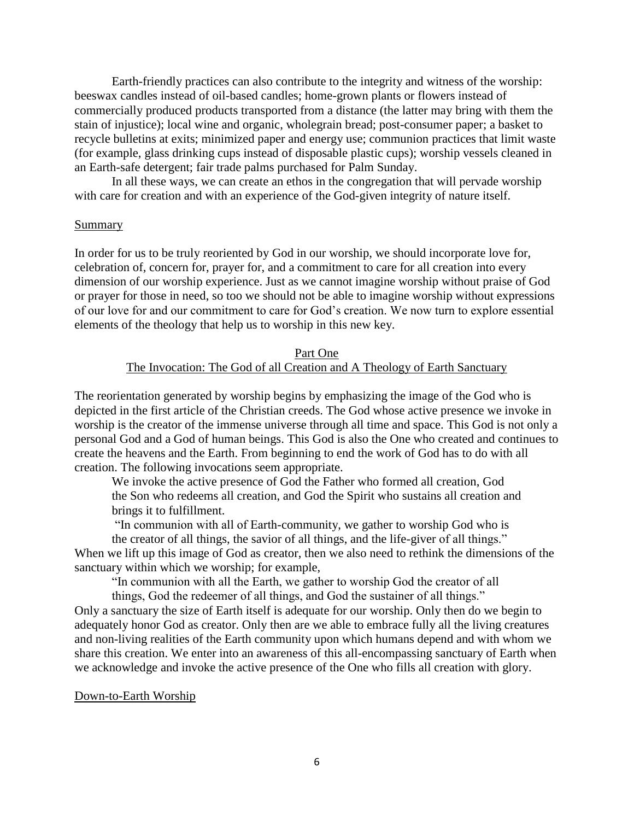Earth-friendly practices can also contribute to the integrity and witness of the worship: beeswax candles instead of oil-based candles; home-grown plants or flowers instead of commercially produced products transported from a distance (the latter may bring with them the stain of injustice); local wine and organic, wholegrain bread; post-consumer paper; a basket to recycle bulletins at exits; minimized paper and energy use; communion practices that limit waste (for example, glass drinking cups instead of disposable plastic cups); worship vessels cleaned in an Earth-safe detergent; fair trade palms purchased for Palm Sunday.

In all these ways, we can create an ethos in the congregation that will pervade worship with care for creation and with an experience of the God-given integrity of nature itself.

### Summary

In order for us to be truly reoriented by God in our worship, we should incorporate love for, celebration of, concern for, prayer for, and a commitment to care for all creation into every dimension of our worship experience. Just as we cannot imagine worship without praise of God or prayer for those in need, so too we should not be able to imagine worship without expressions of our love for and our commitment to care for God"s creation. We now turn to explore essential elements of the theology that help us to worship in this new key.

# Part One The Invocation: The God of all Creation and A Theology of Earth Sanctuary

The reorientation generated by worship begins by emphasizing the image of the God who is depicted in the first article of the Christian creeds. The God whose active presence we invoke in worship is the creator of the immense universe through all time and space. This God is not only a personal God and a God of human beings. This God is also the One who created and continues to create the heavens and the Earth. From beginning to end the work of God has to do with all creation. The following invocations seem appropriate.

We invoke the active presence of God the Father who formed all creation, God the Son who redeems all creation, and God the Spirit who sustains all creation and brings it to fulfillment.

"In communion with all of Earth-community, we gather to worship God who is the creator of all things, the savior of all things, and the life-giver of all things."

When we lift up this image of God as creator, then we also need to rethink the dimensions of the sanctuary within which we worship; for example,

"In communion with all the Earth, we gather to worship God the creator of all things, God the redeemer of all things, and God the sustainer of all things."

Only a sanctuary the size of Earth itself is adequate for our worship. Only then do we begin to adequately honor God as creator. Only then are we able to embrace fully all the living creatures and non-living realities of the Earth community upon which humans depend and with whom we share this creation. We enter into an awareness of this all-encompassing sanctuary of Earth when we acknowledge and invoke the active presence of the One who fills all creation with glory.

#### Down-to-Earth Worship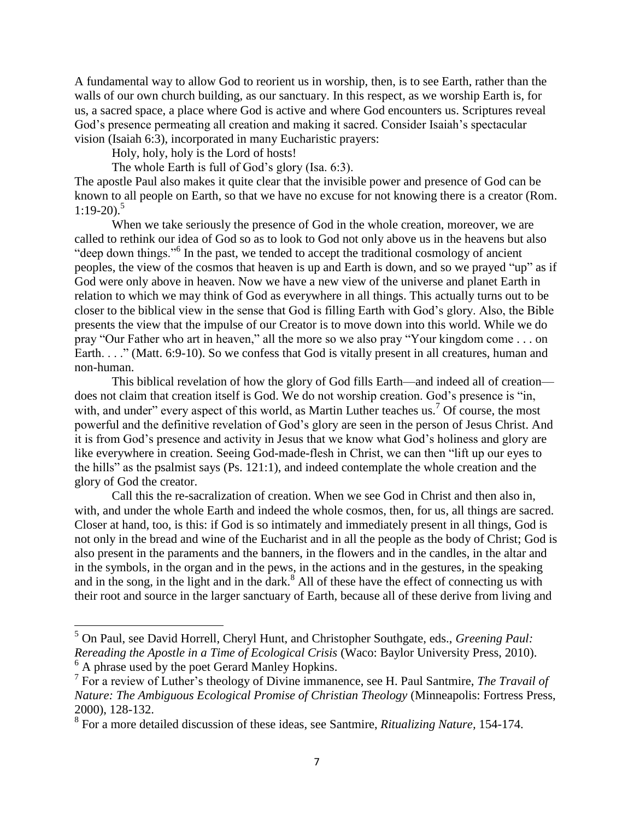A fundamental way to allow God to reorient us in worship, then, is to see Earth, rather than the walls of our own church building, as our sanctuary. In this respect, as we worship Earth is, for us, a sacred space, a place where God is active and where God encounters us. Scriptures reveal God"s presence permeating all creation and making it sacred. Consider Isaiah"s spectacular vision (Isaiah 6:3), incorporated in many Eucharistic prayers:

Holy, holy, holy is the Lord of hosts!

 $\overline{\phantom{a}}$ 

The whole Earth is full of God's glory (Isa. 6:3).

The apostle Paul also makes it quite clear that the invisible power and presence of God can be known to all people on Earth, so that we have no excuse for not knowing there is a creator (Rom.  $1:19-20$ <sup>5</sup>

When we take seriously the presence of God in the whole creation, moreover, we are called to rethink our idea of God so as to look to God not only above us in the heavens but also "deep down things."<sup>6</sup> In the past, we tended to accept the traditional cosmology of ancient peoples, the view of the cosmos that heaven is up and Earth is down, and so we prayed "up" as if God were only above in heaven. Now we have a new view of the universe and planet Earth in relation to which we may think of God as everywhere in all things. This actually turns out to be closer to the biblical view in the sense that God is filling Earth with God"s glory. Also, the Bible presents the view that the impulse of our Creator is to move down into this world. While we do pray "Our Father who art in heaven," all the more so we also pray "Your kingdom come . . . on Earth. . . ." (Matt. 6:9-10). So we confess that God is vitally present in all creatures, human and non-human.

This biblical revelation of how the glory of God fills Earth—and indeed all of creation does not claim that creation itself is God. We do not worship creation. God's presence is "in, with, and under" every aspect of this world, as Martin Luther teaches us.<sup>7</sup> Of course, the most powerful and the definitive revelation of God"s glory are seen in the person of Jesus Christ. And it is from God"s presence and activity in Jesus that we know what God"s holiness and glory are like everywhere in creation. Seeing God-made-flesh in Christ, we can then "lift up our eyes to the hills" as the psalmist says (Ps. 121:1), and indeed contemplate the whole creation and the glory of God the creator.

Call this the re-sacralization of creation. When we see God in Christ and then also in, with, and under the whole Earth and indeed the whole cosmos, then, for us, all things are sacred. Closer at hand, too, is this: if God is so intimately and immediately present in all things, God is not only in the bread and wine of the Eucharist and in all the people as the body of Christ; God is also present in the paraments and the banners, in the flowers and in the candles, in the altar and in the symbols, in the organ and in the pews, in the actions and in the gestures, in the speaking and in the song, in the light and in the dark.<sup>8</sup> All of these have the effect of connecting us with their root and source in the larger sanctuary of Earth, because all of these derive from living and

<sup>5</sup> On Paul, see David Horrell, Cheryl Hunt, and Christopher Southgate, eds., *Greening Paul: Rereading the Apostle in a Time of Ecological Crisis* (Waco: Baylor University Press, 2010). <sup>6</sup> A phrase used by the poet Gerard Manley Hopkins.

<sup>7</sup> For a review of Luther"s theology of Divine immanence, see H. Paul Santmire, *The Travail of Nature: The Ambiguous Ecological Promise of Christian Theology* (Minneapolis: Fortress Press, 2000), 128-132.

<sup>8</sup> For a more detailed discussion of these ideas, see Santmire, *Ritualizing Nature,* 154-174.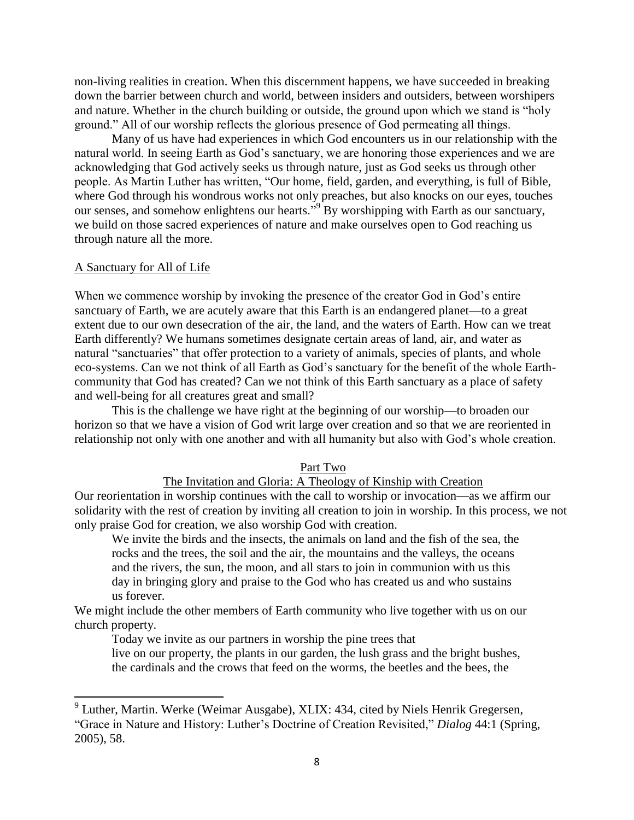non-living realities in creation. When this discernment happens, we have succeeded in breaking down the barrier between church and world, between insiders and outsiders, between worshipers and nature. Whether in the church building or outside, the ground upon which we stand is "holy ground." All of our worship reflects the glorious presence of God permeating all things.

Many of us have had experiences in which God encounters us in our relationship with the natural world. In seeing Earth as God's sanctuary, we are honoring those experiences and we are acknowledging that God actively seeks us through nature, just as God seeks us through other people. As Martin Luther has written, "Our home, field, garden, and everything, is full of Bible, where God through his wondrous works not only preaches, but also knocks on our eyes, touches our senses, and somehow enlightens our hearts."<sup>9</sup> By worshipping with Earth as our sanctuary, we build on those sacred experiences of nature and make ourselves open to God reaching us through nature all the more.

#### A Sanctuary for All of Life

 $\overline{\phantom{a}}$ 

When we commence worship by invoking the presence of the creator God in God's entire sanctuary of Earth, we are acutely aware that this Earth is an endangered planet—to a great extent due to our own desecration of the air, the land, and the waters of Earth. How can we treat Earth differently? We humans sometimes designate certain areas of land, air, and water as natural "sanctuaries" that offer protection to a variety of animals, species of plants, and whole eco-systems. Can we not think of all Earth as God"s sanctuary for the benefit of the whole Earthcommunity that God has created? Can we not think of this Earth sanctuary as a place of safety and well-being for all creatures great and small?

This is the challenge we have right at the beginning of our worship—to broaden our horizon so that we have a vision of God writ large over creation and so that we are reoriented in relationship not only with one another and with all humanity but also with God"s whole creation.

### Part Two

### The Invitation and Gloria: A Theology of Kinship with Creation

Our reorientation in worship continues with the call to worship or invocation—as we affirm our solidarity with the rest of creation by inviting all creation to join in worship. In this process, we not only praise God for creation, we also worship God with creation.

We invite the birds and the insects, the animals on land and the fish of the sea, the rocks and the trees, the soil and the air, the mountains and the valleys, the oceans and the rivers, the sun, the moon, and all stars to join in communion with us this day in bringing glory and praise to the God who has created us and who sustains us forever.

We might include the other members of Earth community who live together with us on our church property.

Today we invite as our partners in worship the pine trees that live on our property, the plants in our garden, the lush grass and the bright bushes, the cardinals and the crows that feed on the worms, the beetles and the bees, the

 $9^9$  Luther, Martin. Werke (Weimar Ausgabe), XLIX: 434, cited by Niels Henrik Gregersen, "Grace in Nature and History: Luther"s Doctrine of Creation Revisited," *Dialog* 44:1 (Spring, 2005), 58.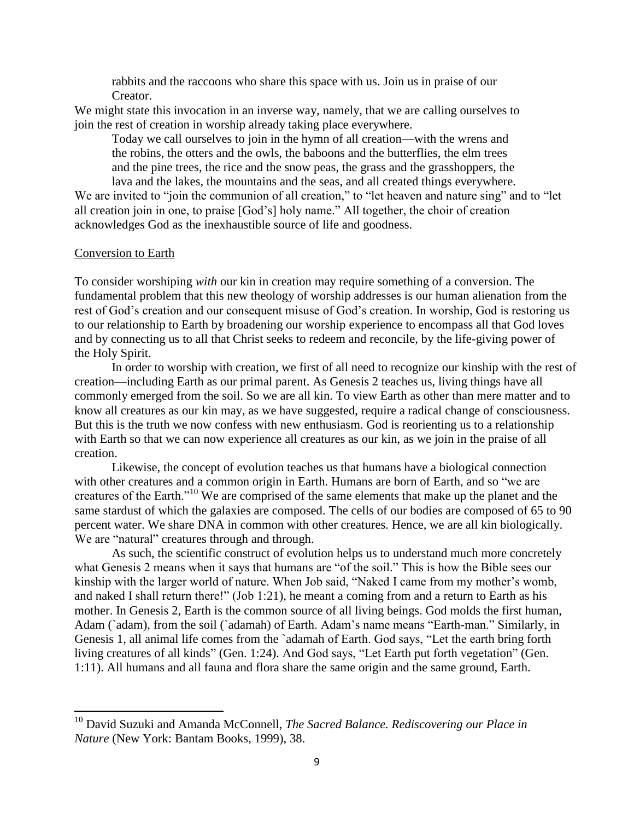rabbits and the raccoons who share this space with us. Join us in praise of our Creator.

We might state this invocation in an inverse way, namely, that we are calling ourselves to join the rest of creation in worship already taking place everywhere.

Today we call ourselves to join in the hymn of all creation—with the wrens and the robins, the otters and the owls, the baboons and the butterflies, the elm trees and the pine trees, the rice and the snow peas, the grass and the grasshoppers, the lava and the lakes, the mountains and the seas, and all created things everywhere.

We are invited to "join the communion of all creation," to "let heaven and nature sing" and to "let all creation join in one, to praise [God"s] holy name." All together, the choir of creation acknowledges God as the inexhaustible source of life and goodness.

### Conversion to Earth

 $\overline{\phantom{a}}$ 

To consider worshiping *with* our kin in creation may require something of a conversion. The fundamental problem that this new theology of worship addresses is our human alienation from the rest of God's creation and our consequent misuse of God's creation. In worship, God is restoring us to our relationship to Earth by broadening our worship experience to encompass all that God loves and by connecting us to all that Christ seeks to redeem and reconcile, by the life-giving power of the Holy Spirit.

In order to worship with creation, we first of all need to recognize our kinship with the rest of creation—including Earth as our primal parent. As Genesis 2 teaches us, living things have all commonly emerged from the soil. So we are all kin. To view Earth as other than mere matter and to know all creatures as our kin may, as we have suggested, require a radical change of consciousness. But this is the truth we now confess with new enthusiasm. God is reorienting us to a relationship with Earth so that we can now experience all creatures as our kin, as we join in the praise of all creation.

Likewise, the concept of evolution teaches us that humans have a biological connection with other creatures and a common origin in Earth. Humans are born of Earth, and so "we are creatures of the Earth."<sup>10</sup> We are comprised of the same elements that make up the planet and the same stardust of which the galaxies are composed. The cells of our bodies are composed of 65 to 90 percent water. We share DNA in common with other creatures. Hence, we are all kin biologically. We are "natural" creatures through and through.

As such, the scientific construct of evolution helps us to understand much more concretely what Genesis 2 means when it says that humans are "of the soil." This is how the Bible sees our kinship with the larger world of nature. When Job said, "Naked I came from my mother"s womb, and naked I shall return there!" (Job 1:21), he meant a coming from and a return to Earth as his mother. In Genesis 2, Earth is the common source of all living beings. God molds the first human, Adam (`adam), from the soil (`adamah) of Earth. Adam's name means "Earth-man." Similarly, in Genesis 1, all animal life comes from the `adamah of Earth. God says, "Let the earth bring forth living creatures of all kinds" (Gen. 1:24). And God says, "Let Earth put forth vegetation" (Gen. 1:11). All humans and all fauna and flora share the same origin and the same ground, Earth.

<sup>10</sup> David Suzuki and Amanda McConnell, *The Sacred Balance. Rediscovering our Place in Nature* (New York: Bantam Books, 1999), 38.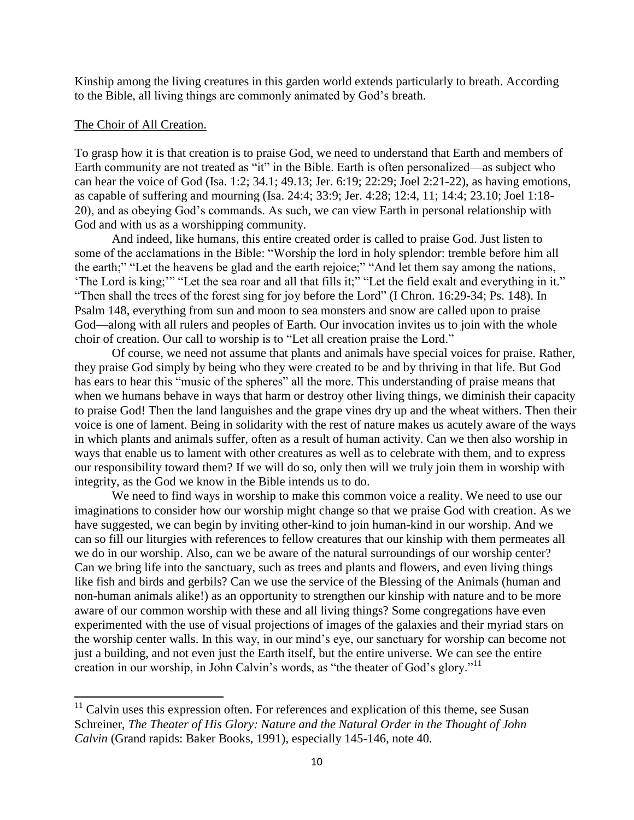Kinship among the living creatures in this garden world extends particularly to breath. According to the Bible, all living things are commonly animated by God"s breath.

### The Choir of All Creation.

 $\overline{\phantom{a}}$ 

To grasp how it is that creation is to praise God, we need to understand that Earth and members of Earth community are not treated as "it" in the Bible. Earth is often personalized—as subject who can hear the voice of God (Isa. 1:2; 34.1; 49.13; Jer. 6:19; 22:29; Joel 2:21-22), as having emotions, as capable of suffering and mourning (Isa. 24:4; 33:9; Jer. 4:28; 12:4, 11; 14:4; 23.10; Joel 1:18- 20), and as obeying God"s commands. As such, we can view Earth in personal relationship with God and with us as a worshipping community.

And indeed, like humans, this entire created order is called to praise God. Just listen to some of the acclamations in the Bible: "Worship the lord in holy splendor: tremble before him all the earth;" "Let the heavens be glad and the earth rejoice;" "And let them say among the nations, "The Lord is king;"" "Let the sea roar and all that fills it;" "Let the field exalt and everything in it." "Then shall the trees of the forest sing for joy before the Lord" (I Chron. 16:29-34; Ps. 148). In Psalm 148, everything from sun and moon to sea monsters and snow are called upon to praise God—along with all rulers and peoples of Earth. Our invocation invites us to join with the whole choir of creation. Our call to worship is to "Let all creation praise the Lord."

Of course, we need not assume that plants and animals have special voices for praise. Rather, they praise God simply by being who they were created to be and by thriving in that life. But God has ears to hear this "music of the spheres" all the more. This understanding of praise means that when we humans behave in ways that harm or destroy other living things, we diminish their capacity to praise God! Then the land languishes and the grape vines dry up and the wheat withers. Then their voice is one of lament. Being in solidarity with the rest of nature makes us acutely aware of the ways in which plants and animals suffer, often as a result of human activity. Can we then also worship in ways that enable us to lament with other creatures as well as to celebrate with them, and to express our responsibility toward them? If we will do so, only then will we truly join them in worship with integrity, as the God we know in the Bible intends us to do.

We need to find ways in worship to make this common voice a reality. We need to use our imaginations to consider how our worship might change so that we praise God with creation. As we have suggested, we can begin by inviting other-kind to join human-kind in our worship. And we can so fill our liturgies with references to fellow creatures that our kinship with them permeates all we do in our worship. Also, can we be aware of the natural surroundings of our worship center? Can we bring life into the sanctuary, such as trees and plants and flowers, and even living things like fish and birds and gerbils? Can we use the service of the Blessing of the Animals (human and non-human animals alike!) as an opportunity to strengthen our kinship with nature and to be more aware of our common worship with these and all living things? Some congregations have even experimented with the use of visual projections of images of the galaxies and their myriad stars on the worship center walls. In this way, in our mind"s eye, our sanctuary for worship can become not just a building, and not even just the Earth itself, but the entire universe. We can see the entire creation in our worship, in John Calvin's words, as "the theater of God's glory."<sup>11</sup>

 $11$  Calvin uses this expression often. For references and explication of this theme, see Susan Schreiner, *The Theater of His Glory: Nature and the Natural Order in the Thought of John Calvin* (Grand rapids: Baker Books, 1991), especially 145-146, note 40.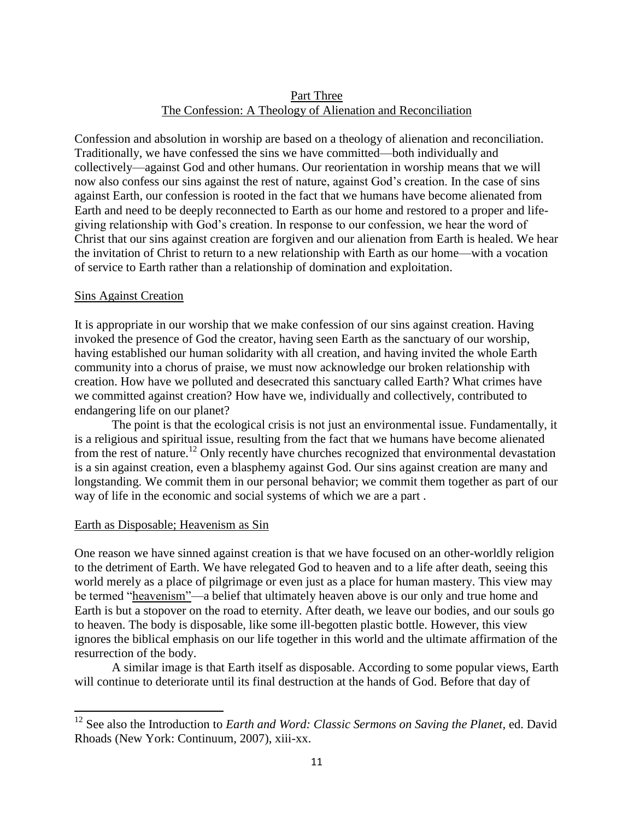# Part Three The Confession: A Theology of Alienation and Reconciliation

Confession and absolution in worship are based on a theology of alienation and reconciliation. Traditionally, we have confessed the sins we have committed—both individually and collectively—against God and other humans. Our reorientation in worship means that we will now also confess our sins against the rest of nature, against God"s creation. In the case of sins against Earth, our confession is rooted in the fact that we humans have become alienated from Earth and need to be deeply reconnected to Earth as our home and restored to a proper and lifegiving relationship with God"s creation. In response to our confession, we hear the word of Christ that our sins against creation are forgiven and our alienation from Earth is healed. We hear the invitation of Christ to return to a new relationship with Earth as our home—with a vocation of service to Earth rather than a relationship of domination and exploitation.

# Sins Against Creation

It is appropriate in our worship that we make confession of our sins against creation. Having invoked the presence of God the creator, having seen Earth as the sanctuary of our worship, having established our human solidarity with all creation, and having invited the whole Earth community into a chorus of praise, we must now acknowledge our broken relationship with creation. How have we polluted and desecrated this sanctuary called Earth? What crimes have we committed against creation? How have we, individually and collectively, contributed to endangering life on our planet?

The point is that the ecological crisis is not just an environmental issue. Fundamentally, it is a religious and spiritual issue, resulting from the fact that we humans have become alienated from the rest of nature.<sup>12</sup> Only recently have churches recognized that environmental devastation is a sin against creation, even a blasphemy against God. Our sins against creation are many and longstanding. We commit them in our personal behavior; we commit them together as part of our way of life in the economic and social systems of which we are a part .

# Earth as Disposable; Heavenism as Sin

 $\overline{\phantom{a}}$ 

One reason we have sinned against creation is that we have focused on an other-worldly religion to the detriment of Earth. We have relegated God to heaven and to a life after death, seeing this world merely as a place of pilgrimage or even just as a place for human mastery. This view may be termed "heavenism"—a belief that ultimately heaven above is our only and true home and Earth is but a stopover on the road to eternity. After death, we leave our bodies, and our souls go to heaven. The body is disposable, like some ill-begotten plastic bottle. However, this view ignores the biblical emphasis on our life together in this world and the ultimate affirmation of the resurrection of the body.

A similar image is that Earth itself as disposable. According to some popular views, Earth will continue to deteriorate until its final destruction at the hands of God. Before that day of

<sup>12</sup> See also the Introduction to *Earth and Word: Classic Sermons on Saving the Planet,* ed. David Rhoads (New York: Continuum, 2007), xiii-xx.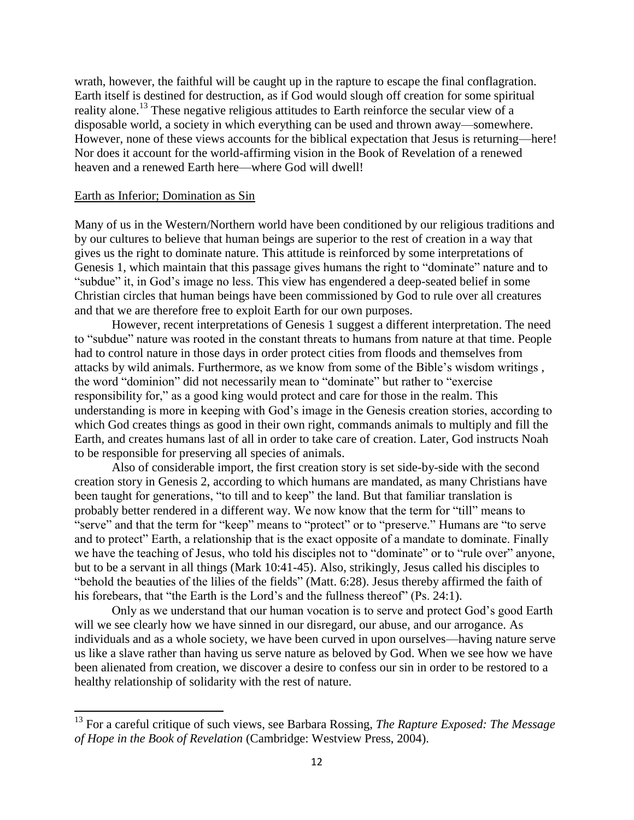wrath, however, the faithful will be caught up in the rapture to escape the final conflagration. Earth itself is destined for destruction, as if God would slough off creation for some spiritual reality alone.<sup>13</sup> These negative religious attitudes to Earth reinforce the secular view of a disposable world, a society in which everything can be used and thrown away—somewhere. However, none of these views accounts for the biblical expectation that Jesus is returning—here! Nor does it account for the world-affirming vision in the Book of Revelation of a renewed heaven and a renewed Earth here—where God will dwell!

#### Earth as Inferior; Domination as Sin

 $\overline{\phantom{a}}$ 

Many of us in the Western/Northern world have been conditioned by our religious traditions and by our cultures to believe that human beings are superior to the rest of creation in a way that gives us the right to dominate nature. This attitude is reinforced by some interpretations of Genesis 1, which maintain that this passage gives humans the right to "dominate" nature and to "subdue" it, in God"s image no less. This view has engendered a deep-seated belief in some Christian circles that human beings have been commissioned by God to rule over all creatures and that we are therefore free to exploit Earth for our own purposes.

However, recent interpretations of Genesis 1 suggest a different interpretation. The need to "subdue" nature was rooted in the constant threats to humans from nature at that time. People had to control nature in those days in order protect cities from floods and themselves from attacks by wild animals. Furthermore, as we know from some of the Bible"s wisdom writings , the word "dominion" did not necessarily mean to "dominate" but rather to "exercise responsibility for," as a good king would protect and care for those in the realm. This understanding is more in keeping with God"s image in the Genesis creation stories, according to which God creates things as good in their own right, commands animals to multiply and fill the Earth, and creates humans last of all in order to take care of creation. Later, God instructs Noah to be responsible for preserving all species of animals.

Also of considerable import, the first creation story is set side-by-side with the second creation story in Genesis 2, according to which humans are mandated, as many Christians have been taught for generations, "to till and to keep" the land. But that familiar translation is probably better rendered in a different way. We now know that the term for "till" means to "serve" and that the term for "keep" means to "protect" or to "preserve." Humans are "to serve and to protect" Earth, a relationship that is the exact opposite of a mandate to dominate. Finally we have the teaching of Jesus, who told his disciples not to "dominate" or to "rule over" anyone, but to be a servant in all things (Mark 10:41-45). Also, strikingly, Jesus called his disciples to "behold the beauties of the lilies of the fields" (Matt. 6:28). Jesus thereby affirmed the faith of his forebears, that "the Earth is the Lord"s and the fullness thereof" (Ps. 24:1).

Only as we understand that our human vocation is to serve and protect God"s good Earth will we see clearly how we have sinned in our disregard, our abuse, and our arrogance. As individuals and as a whole society, we have been curved in upon ourselves—having nature serve us like a slave rather than having us serve nature as beloved by God. When we see how we have been alienated from creation, we discover a desire to confess our sin in order to be restored to a healthy relationship of solidarity with the rest of nature.

<sup>13</sup> For a careful critique of such views, see Barbara Rossing, *The Rapture Exposed: The Message of Hope in the Book of Revelation* (Cambridge: Westview Press, 2004).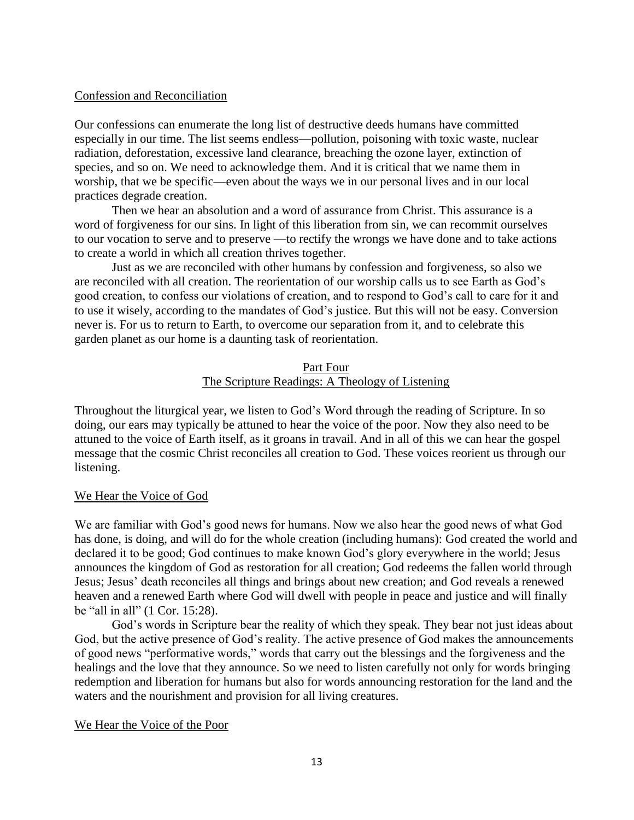## Confession and Reconciliation

Our confessions can enumerate the long list of destructive deeds humans have committed especially in our time. The list seems endless—pollution, poisoning with toxic waste, nuclear radiation, deforestation, excessive land clearance, breaching the ozone layer, extinction of species, and so on. We need to acknowledge them. And it is critical that we name them in worship, that we be specific—even about the ways we in our personal lives and in our local practices degrade creation.

Then we hear an absolution and a word of assurance from Christ. This assurance is a word of forgiveness for our sins. In light of this liberation from sin, we can recommit ourselves to our vocation to serve and to preserve —to rectify the wrongs we have done and to take actions to create a world in which all creation thrives together.

Just as we are reconciled with other humans by confession and forgiveness, so also we are reconciled with all creation. The reorientation of our worship calls us to see Earth as God"s good creation, to confess our violations of creation, and to respond to God"s call to care for it and to use it wisely, according to the mandates of God"s justice. But this will not be easy. Conversion never is. For us to return to Earth, to overcome our separation from it, and to celebrate this garden planet as our home is a daunting task of reorientation.

# Part Four The Scripture Readings: A Theology of Listening

Throughout the liturgical year, we listen to God"s Word through the reading of Scripture. In so doing, our ears may typically be attuned to hear the voice of the poor. Now they also need to be attuned to the voice of Earth itself, as it groans in travail. And in all of this we can hear the gospel message that the cosmic Christ reconciles all creation to God. These voices reorient us through our listening.

# We Hear the Voice of God

We are familiar with God"s good news for humans. Now we also hear the good news of what God has done, is doing, and will do for the whole creation (including humans): God created the world and declared it to be good; God continues to make known God's glory everywhere in the world; Jesus announces the kingdom of God as restoration for all creation; God redeems the fallen world through Jesus; Jesus' death reconciles all things and brings about new creation; and God reveals a renewed heaven and a renewed Earth where God will dwell with people in peace and justice and will finally be "all in all" (1 Cor. 15:28).

God"s words in Scripture bear the reality of which they speak. They bear not just ideas about God, but the active presence of God"s reality. The active presence of God makes the announcements of good news "performative words," words that carry out the blessings and the forgiveness and the healings and the love that they announce. So we need to listen carefully not only for words bringing redemption and liberation for humans but also for words announcing restoration for the land and the waters and the nourishment and provision for all living creatures.

### We Hear the Voice of the Poor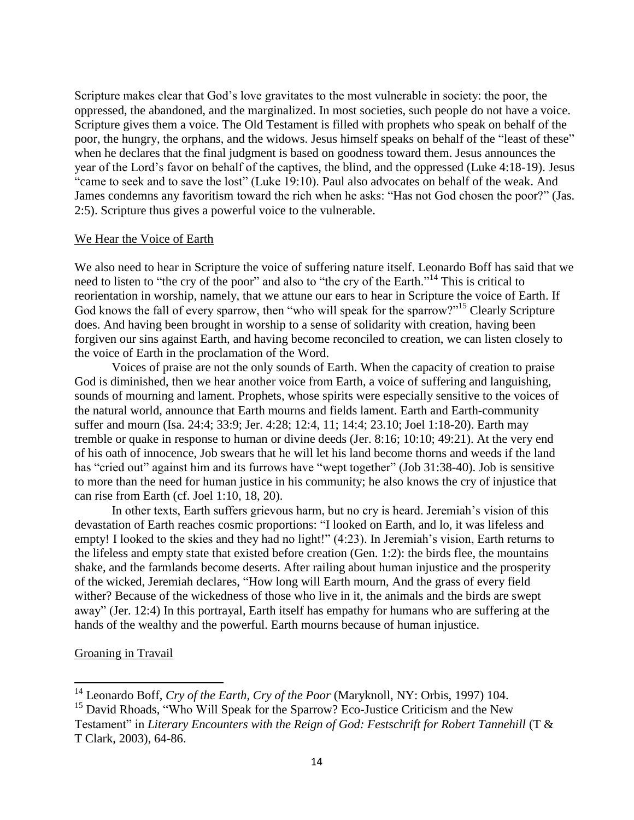Scripture makes clear that God"s love gravitates to the most vulnerable in society: the poor, the oppressed, the abandoned, and the marginalized. In most societies, such people do not have a voice. Scripture gives them a voice. The Old Testament is filled with prophets who speak on behalf of the poor, the hungry, the orphans, and the widows. Jesus himself speaks on behalf of the "least of these" when he declares that the final judgment is based on goodness toward them. Jesus announces the year of the Lord"s favor on behalf of the captives, the blind, and the oppressed (Luke 4:18-19). Jesus "came to seek and to save the lost" (Luke 19:10). Paul also advocates on behalf of the weak. And James condemns any favoritism toward the rich when he asks: "Has not God chosen the poor?" (Jas. 2:5). Scripture thus gives a powerful voice to the vulnerable.

### We Hear the Voice of Earth

We also need to hear in Scripture the voice of suffering nature itself. Leonardo Boff has said that we need to listen to "the cry of the poor" and also to "the cry of the Earth."<sup>14</sup> This is critical to reorientation in worship, namely, that we attune our ears to hear in Scripture the voice of Earth. If God knows the fall of every sparrow, then "who will speak for the sparrow?"<sup>15</sup> Clearly Scripture does. And having been brought in worship to a sense of solidarity with creation, having been forgiven our sins against Earth, and having become reconciled to creation, we can listen closely to the voice of Earth in the proclamation of the Word.

Voices of praise are not the only sounds of Earth. When the capacity of creation to praise God is diminished, then we hear another voice from Earth, a voice of suffering and languishing, sounds of mourning and lament. Prophets, whose spirits were especially sensitive to the voices of the natural world, announce that Earth mourns and fields lament. Earth and Earth-community suffer and mourn (Isa. 24:4; 33:9; Jer. 4:28; 12:4, 11; 14:4; 23.10; Joel 1:18-20). Earth may tremble or quake in response to human or divine deeds (Jer. 8:16; 10:10; 49:21). At the very end of his oath of innocence, Job swears that he will let his land become thorns and weeds if the land has "cried out" against him and its furrows have "wept together" (Job 31:38-40). Job is sensitive to more than the need for human justice in his community; he also knows the cry of injustice that can rise from Earth (cf. Joel 1:10, 18, 20).

In other texts, Earth suffers grievous harm, but no cry is heard. Jeremiah's vision of this devastation of Earth reaches cosmic proportions: "I looked on Earth, and lo, it was lifeless and empty! I looked to the skies and they had no light!" (4:23). In Jeremiah's vision, Earth returns to the lifeless and empty state that existed before creation (Gen. 1:2): the birds flee, the mountains shake, and the farmlands become deserts. After railing about human injustice and the prosperity of the wicked, Jeremiah declares, "How long will Earth mourn, And the grass of every field wither? Because of the wickedness of those who live in it, the animals and the birds are swept away" (Jer. 12:4) In this portrayal, Earth itself has empathy for humans who are suffering at the hands of the wealthy and the powerful. Earth mourns because of human injustice.

# Groaning in Travail

 $\overline{a}$ 

<sup>14</sup> Leonardo Boff, *Cry of the Earth, Cry of the Poor* (Maryknoll, NY: Orbis, 1997) 104.

<sup>&</sup>lt;sup>15</sup> David Rhoads, "Who Will Speak for the Sparrow? Eco-Justice Criticism and the New

Testament" in *Literary Encounters with the Reign of God: Festschrift for Robert Tannehill* (T & T Clark, 2003), 64-86.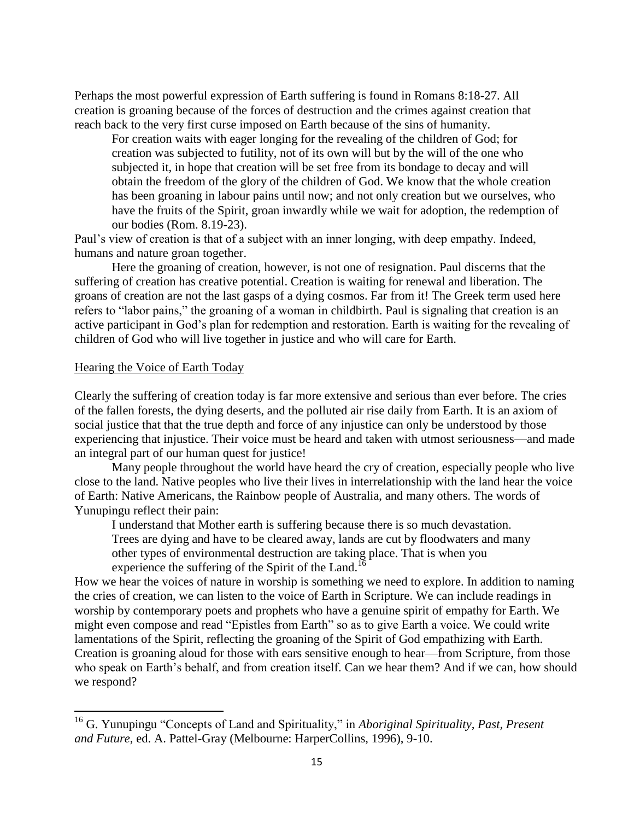Perhaps the most powerful expression of Earth suffering is found in Romans 8:18-27. All creation is groaning because of the forces of destruction and the crimes against creation that reach back to the very first curse imposed on Earth because of the sins of humanity.

For creation waits with eager longing for the revealing of the children of God; for creation was subjected to futility, not of its own will but by the will of the one who subjected it, in hope that creation will be set free from its bondage to decay and will obtain the freedom of the glory of the children of God. We know that the whole creation has been groaning in labour pains until now; and not only creation but we ourselves, who have the fruits of the Spirit, groan inwardly while we wait for adoption, the redemption of our bodies (Rom. 8.19-23).

Paul's view of creation is that of a subject with an inner longing, with deep empathy. Indeed, humans and nature groan together.

Here the groaning of creation, however, is not one of resignation. Paul discerns that the suffering of creation has creative potential. Creation is waiting for renewal and liberation. The groans of creation are not the last gasps of a dying cosmos. Far from it! The Greek term used here refers to "labor pains," the groaning of a woman in childbirth. Paul is signaling that creation is an active participant in God"s plan for redemption and restoration. Earth is waiting for the revealing of children of God who will live together in justice and who will care for Earth.

### Hearing the Voice of Earth Today

 $\overline{\phantom{a}}$ 

Clearly the suffering of creation today is far more extensive and serious than ever before. The cries of the fallen forests, the dying deserts, and the polluted air rise daily from Earth. It is an axiom of social justice that that the true depth and force of any injustice can only be understood by those experiencing that injustice. Their voice must be heard and taken with utmost seriousness—and made an integral part of our human quest for justice!

Many people throughout the world have heard the cry of creation, especially people who live close to the land. Native peoples who live their lives in interrelationship with the land hear the voice of Earth: Native Americans, the Rainbow people of Australia, and many others. The words of Yunupingu reflect their pain:

I understand that Mother earth is suffering because there is so much devastation. Trees are dying and have to be cleared away, lands are cut by floodwaters and many other types of environmental destruction are taking place. That is when you experience the suffering of the Spirit of the Land.<sup>16</sup>

How we hear the voices of nature in worship is something we need to explore. In addition to naming the cries of creation, we can listen to the voice of Earth in Scripture. We can include readings in worship by contemporary poets and prophets who have a genuine spirit of empathy for Earth. We might even compose and read "Epistles from Earth" so as to give Earth a voice. We could write lamentations of the Spirit, reflecting the groaning of the Spirit of God empathizing with Earth. Creation is groaning aloud for those with ears sensitive enough to hear—from Scripture, from those who speak on Earth's behalf, and from creation itself. Can we hear them? And if we can, how should we respond?

<sup>16</sup> G. Yunupingu "Concepts of Land and Spirituality," in *Aboriginal Spirituality, Past, Present and Future*, ed. A. Pattel-Gray (Melbourne: HarperCollins, 1996), 9-10.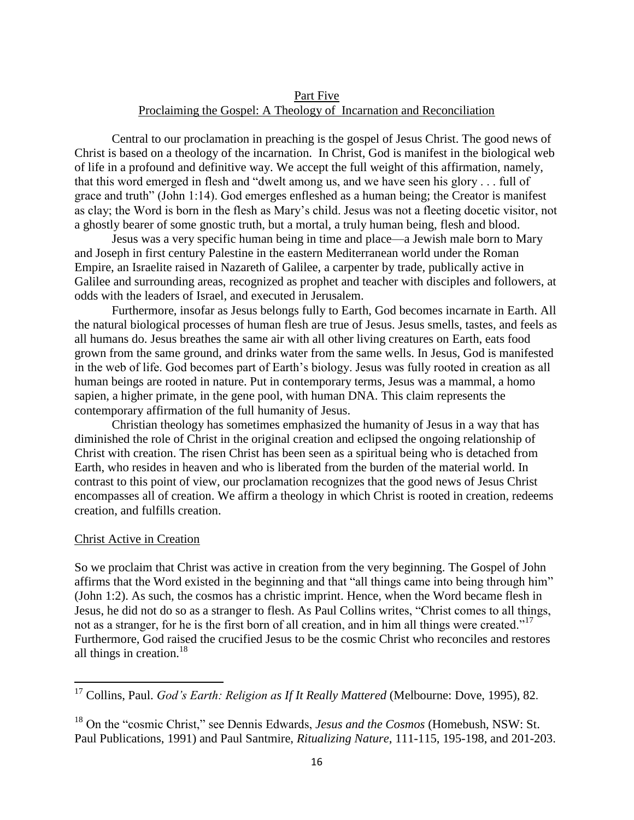## Part Five Proclaiming the Gospel: A Theology of Incarnation and Reconciliation

Central to our proclamation in preaching is the gospel of Jesus Christ. The good news of Christ is based on a theology of the incarnation. In Christ, God is manifest in the biological web of life in a profound and definitive way. We accept the full weight of this affirmation, namely, that this word emerged in flesh and "dwelt among us, and we have seen his glory . . . full of grace and truth" (John 1:14). God emerges enfleshed as a human being; the Creator is manifest as clay; the Word is born in the flesh as Mary"s child. Jesus was not a fleeting docetic visitor, not a ghostly bearer of some gnostic truth, but a mortal, a truly human being, flesh and blood.

Jesus was a very specific human being in time and place—a Jewish male born to Mary and Joseph in first century Palestine in the eastern Mediterranean world under the Roman Empire, an Israelite raised in Nazareth of Galilee, a carpenter by trade, publically active in Galilee and surrounding areas, recognized as prophet and teacher with disciples and followers, at odds with the leaders of Israel, and executed in Jerusalem.

Furthermore, insofar as Jesus belongs fully to Earth, God becomes incarnate in Earth. All the natural biological processes of human flesh are true of Jesus. Jesus smells, tastes, and feels as all humans do. Jesus breathes the same air with all other living creatures on Earth, eats food grown from the same ground, and drinks water from the same wells. In Jesus, God is manifested in the web of life. God becomes part of Earth"s biology. Jesus was fully rooted in creation as all human beings are rooted in nature. Put in contemporary terms, Jesus was a mammal, a homo sapien, a higher primate, in the gene pool, with human DNA. This claim represents the contemporary affirmation of the full humanity of Jesus.

Christian theology has sometimes emphasized the humanity of Jesus in a way that has diminished the role of Christ in the original creation and eclipsed the ongoing relationship of Christ with creation. The risen Christ has been seen as a spiritual being who is detached from Earth, who resides in heaven and who is liberated from the burden of the material world. In contrast to this point of view, our proclamation recognizes that the good news of Jesus Christ encompasses all of creation. We affirm a theology in which Christ is rooted in creation, redeems creation, and fulfills creation.

#### Christ Active in Creation

 $\overline{a}$ 

So we proclaim that Christ was active in creation from the very beginning. The Gospel of John affirms that the Word existed in the beginning and that "all things came into being through him" (John 1:2). As such, the cosmos has a christic imprint. Hence, when the Word became flesh in Jesus, he did not do so as a stranger to flesh. As Paul Collins writes, "Christ comes to all things, not as a stranger, for he is the first born of all creation, and in him all things were created."<sup>17</sup> Furthermore, God raised the crucified Jesus to be the cosmic Christ who reconciles and restores all things in creation. $18$ 

<sup>&</sup>lt;sup>17</sup> Collins, Paul. *God's Earth: Religion as If It Really Mattered* (Melbourne: Dove, 1995), 82.

<sup>18</sup> On the "cosmic Christ," see Dennis Edwards, *Jesus and the Cosmos* (Homebush, NSW: St. Paul Publications, 1991) and Paul Santmire, *Ritualizing Nature*, 111-115, 195-198, and 201-203.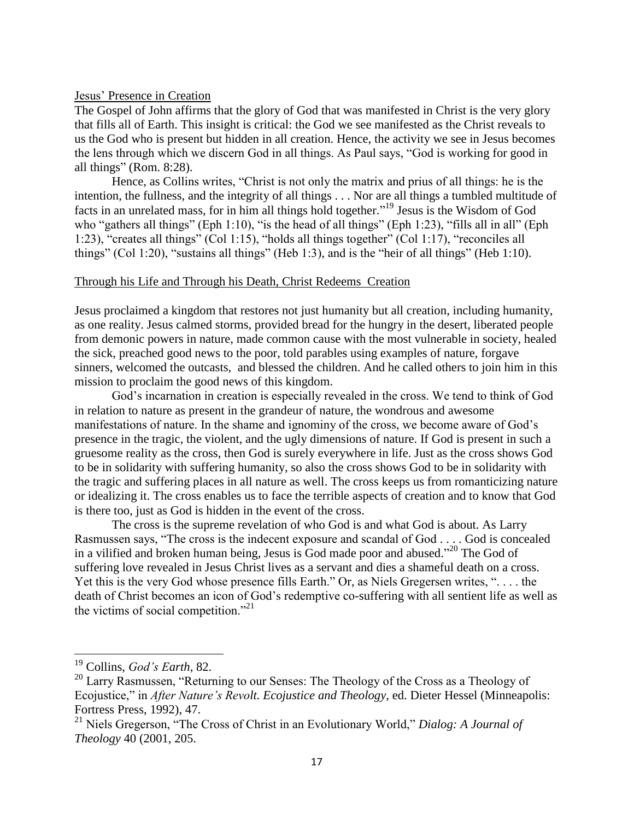Jesus" Presence in Creation

The Gospel of John affirms that the glory of God that was manifested in Christ is the very glory that fills all of Earth. This insight is critical: the God we see manifested as the Christ reveals to us the God who is present but hidden in all creation. Hence, the activity we see in Jesus becomes the lens through which we discern God in all things. As Paul says, "God is working for good in all things" (Rom. 8:28).

Hence, as Collins writes, "Christ is not only the matrix and prius of all things: he is the intention, the fullness, and the integrity of all things . . . Nor are all things a tumbled multitude of facts in an unrelated mass, for in him all things hold together." <sup>19</sup> Jesus is the Wisdom of God who "gathers all things" (Eph 1:10), "is the head of all things" (Eph 1:23), "fills all in all" (Eph 1:23), "creates all things" (Col 1:15), "holds all things together" (Col 1:17), "reconciles all things" (Col 1:20), "sustains all things" (Heb 1:3), and is the "heir of all things" (Heb 1:10).

### Through his Life and Through his Death, Christ Redeems Creation

Jesus proclaimed a kingdom that restores not just humanity but all creation, including humanity, as one reality. Jesus calmed storms, provided bread for the hungry in the desert, liberated people from demonic powers in nature, made common cause with the most vulnerable in society, healed the sick, preached good news to the poor, told parables using examples of nature, forgave sinners, welcomed the outcasts, and blessed the children. And he called others to join him in this mission to proclaim the good news of this kingdom.

God"s incarnation in creation is especially revealed in the cross. We tend to think of God in relation to nature as present in the grandeur of nature, the wondrous and awesome manifestations of nature. In the shame and ignominy of the cross, we become aware of God"s presence in the tragic, the violent, and the ugly dimensions of nature. If God is present in such a gruesome reality as the cross, then God is surely everywhere in life. Just as the cross shows God to be in solidarity with suffering humanity, so also the cross shows God to be in solidarity with the tragic and suffering places in all nature as well. The cross keeps us from romanticizing nature or idealizing it. The cross enables us to face the terrible aspects of creation and to know that God is there too, just as God is hidden in the event of the cross.

The cross is the supreme revelation of who God is and what God is about. As Larry Rasmussen says, "The cross is the indecent exposure and scandal of God . . . . God is concealed in a vilified and broken human being, Jesus is God made poor and abused." <sup>20</sup> The God of suffering love revealed in Jesus Christ lives as a servant and dies a shameful death on a cross. Yet this is the very God whose presence fills Earth." Or, as Niels Gregersen writes, ". . . . the death of Christ becomes an icon of God's redemptive co-suffering with all sentient life as well as the victims of social competition."<sup>21</sup>

 $\overline{\phantom{a}}$ 

<sup>19</sup> Collins, *God's Earth*, 82.

<sup>&</sup>lt;sup>20</sup> Larry Rasmussen, "Returning to our Senses: The Theology of the Cross as a Theology of Ecojustice," in *After Nature's Revolt. Ecojustice and Theology*, ed. Dieter Hessel (Minneapolis: Fortress Press, 1992), 47.

<sup>21</sup> Niels Gregerson, "The Cross of Christ in an Evolutionary World," *Dialog: A Journal of Theology* 40 (2001, 205.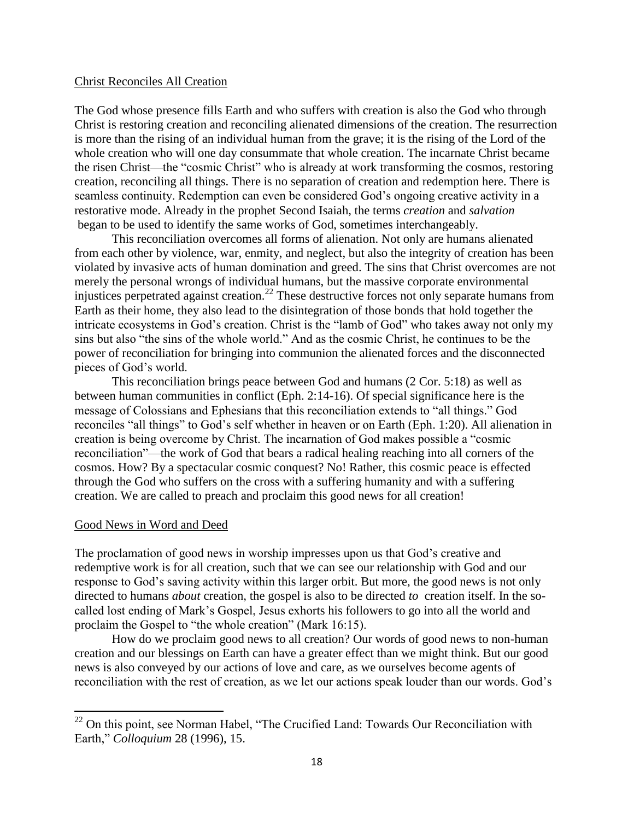### Christ Reconciles All Creation

The God whose presence fills Earth and who suffers with creation is also the God who through Christ is restoring creation and reconciling alienated dimensions of the creation. The resurrection is more than the rising of an individual human from the grave; it is the rising of the Lord of the whole creation who will one day consummate that whole creation. The incarnate Christ became the risen Christ—the "cosmic Christ" who is already at work transforming the cosmos, restoring creation, reconciling all things. There is no separation of creation and redemption here. There is seamless continuity. Redemption can even be considered God"s ongoing creative activity in a restorative mode. Already in the prophet Second Isaiah, the terms *creation* and *salvation* began to be used to identify the same works of God, sometimes interchangeably.

This reconciliation overcomes all forms of alienation. Not only are humans alienated from each other by violence, war, enmity, and neglect, but also the integrity of creation has been violated by invasive acts of human domination and greed. The sins that Christ overcomes are not merely the personal wrongs of individual humans, but the massive corporate environmental injustices perpetrated against creation.<sup>22</sup> These destructive forces not only separate humans from Earth as their home, they also lead to the disintegration of those bonds that hold together the intricate ecosystems in God"s creation. Christ is the "lamb of God" who takes away not only my sins but also "the sins of the whole world." And as the cosmic Christ, he continues to be the power of reconciliation for bringing into communion the alienated forces and the disconnected pieces of God"s world.

This reconciliation brings peace between God and humans (2 Cor. 5:18) as well as between human communities in conflict (Eph. 2:14-16). Of special significance here is the message of Colossians and Ephesians that this reconciliation extends to "all things." God reconciles "all things" to God"s self whether in heaven or on Earth (Eph. 1:20). All alienation in creation is being overcome by Christ. The incarnation of God makes possible a "cosmic reconciliation"—the work of God that bears a radical healing reaching into all corners of the cosmos. How? By a spectacular cosmic conquest? No! Rather, this cosmic peace is effected through the God who suffers on the cross with a suffering humanity and with a suffering creation. We are called to preach and proclaim this good news for all creation!

### Good News in Word and Deed

 $\overline{\phantom{a}}$ 

The proclamation of good news in worship impresses upon us that God"s creative and redemptive work is for all creation, such that we can see our relationship with God and our response to God"s saving activity within this larger orbit. But more, the good news is not only directed to humans *about* creation, the gospel is also to be directed *to* creation itself. In the socalled lost ending of Mark"s Gospel, Jesus exhorts his followers to go into all the world and proclaim the Gospel to "the whole creation" (Mark 16:15).

How do we proclaim good news to all creation? Our words of good news to non-human creation and our blessings on Earth can have a greater effect than we might think. But our good news is also conveyed by our actions of love and care, as we ourselves become agents of reconciliation with the rest of creation, as we let our actions speak louder than our words. God"s

 $22$  On this point, see Norman Habel, "The Crucified Land: Towards Our Reconciliation with Earth," *Colloquium* 28 (1996), 15.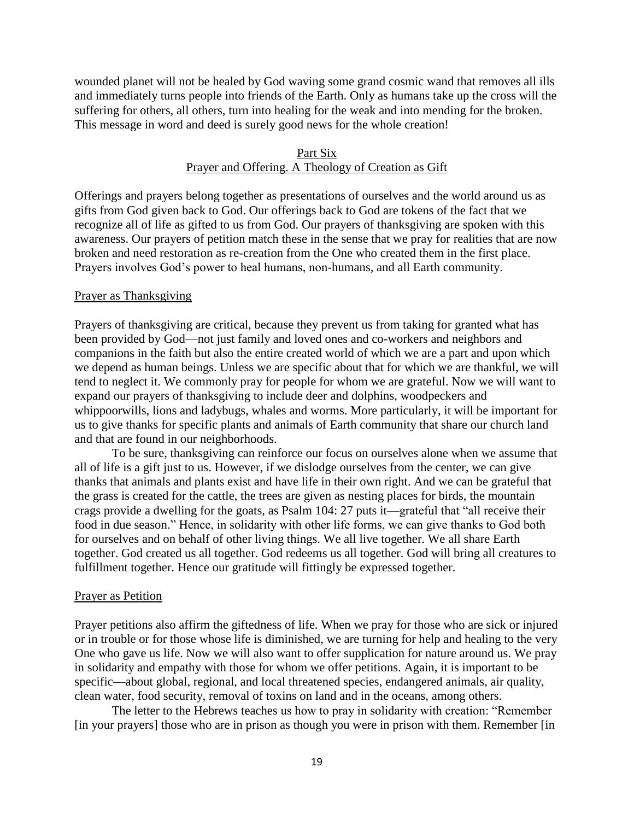wounded planet will not be healed by God waving some grand cosmic wand that removes all ills and immediately turns people into friends of the Earth. Only as humans take up the cross will the suffering for others, all others, turn into healing for the weak and into mending for the broken. This message in word and deed is surely good news for the whole creation!

## Part Six Prayer and Offering. A Theology of Creation as Gift

Offerings and prayers belong together as presentations of ourselves and the world around us as gifts from God given back to God. Our offerings back to God are tokens of the fact that we recognize all of life as gifted to us from God. Our prayers of thanksgiving are spoken with this awareness. Our prayers of petition match these in the sense that we pray for realities that are now broken and need restoration as re-creation from the One who created them in the first place. Prayers involves God"s power to heal humans, non-humans, and all Earth community.

## Prayer as Thanksgiving

Prayers of thanksgiving are critical, because they prevent us from taking for granted what has been provided by God—not just family and loved ones and co-workers and neighbors and companions in the faith but also the entire created world of which we are a part and upon which we depend as human beings. Unless we are specific about that for which we are thankful, we will tend to neglect it. We commonly pray for people for whom we are grateful. Now we will want to expand our prayers of thanksgiving to include deer and dolphins, woodpeckers and whippoorwills, lions and ladybugs, whales and worms. More particularly, it will be important for us to give thanks for specific plants and animals of Earth community that share our church land and that are found in our neighborhoods.

To be sure, thanksgiving can reinforce our focus on ourselves alone when we assume that all of life is a gift just to us. However, if we dislodge ourselves from the center, we can give thanks that animals and plants exist and have life in their own right. And we can be grateful that the grass is created for the cattle, the trees are given as nesting places for birds, the mountain crags provide a dwelling for the goats, as Psalm 104: 27 puts it—grateful that "all receive their food in due season." Hence, in solidarity with other life forms, we can give thanks to God both for ourselves and on behalf of other living things. We all live together. We all share Earth together. God created us all together. God redeems us all together. God will bring all creatures to fulfillment together. Hence our gratitude will fittingly be expressed together.

### Prayer as Petition

Prayer petitions also affirm the giftedness of life. When we pray for those who are sick or injured or in trouble or for those whose life is diminished, we are turning for help and healing to the very One who gave us life. Now we will also want to offer supplication for nature around us. We pray in solidarity and empathy with those for whom we offer petitions. Again, it is important to be specific—about global, regional, and local threatened species, endangered animals, air quality, clean water, food security, removal of toxins on land and in the oceans, among others.

The letter to the Hebrews teaches us how to pray in solidarity with creation: "Remember [in your prayers] those who are in prison as though you were in prison with them. Remember [in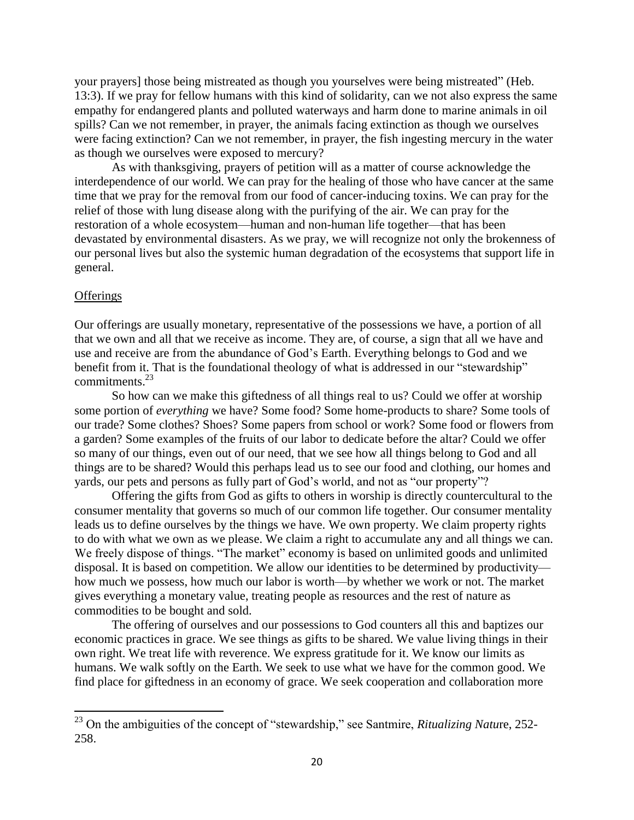your prayers] those being mistreated as though you yourselves were being mistreated" (Heb. 13:3). If we pray for fellow humans with this kind of solidarity, can we not also express the same empathy for endangered plants and polluted waterways and harm done to marine animals in oil spills? Can we not remember, in prayer, the animals facing extinction as though we ourselves were facing extinction? Can we not remember, in prayer, the fish ingesting mercury in the water as though we ourselves were exposed to mercury?

As with thanksgiving, prayers of petition will as a matter of course acknowledge the interdependence of our world. We can pray for the healing of those who have cancer at the same time that we pray for the removal from our food of cancer-inducing toxins. We can pray for the relief of those with lung disease along with the purifying of the air. We can pray for the restoration of a whole ecosystem—human and non-human life together—that has been devastated by environmental disasters. As we pray, we will recognize not only the brokenness of our personal lives but also the systemic human degradation of the ecosystems that support life in general.

### **Offerings**

 $\overline{\phantom{a}}$ 

Our offerings are usually monetary, representative of the possessions we have, a portion of all that we own and all that we receive as income. They are, of course, a sign that all we have and use and receive are from the abundance of God"s Earth. Everything belongs to God and we benefit from it. That is the foundational theology of what is addressed in our "stewardship" commitments. 23

So how can we make this giftedness of all things real to us? Could we offer at worship some portion of *everything* we have? Some food? Some home-products to share? Some tools of our trade? Some clothes? Shoes? Some papers from school or work? Some food or flowers from a garden? Some examples of the fruits of our labor to dedicate before the altar? Could we offer so many of our things, even out of our need, that we see how all things belong to God and all things are to be shared? Would this perhaps lead us to see our food and clothing, our homes and yards, our pets and persons as fully part of God"s world, and not as "our property"?

Offering the gifts from God as gifts to others in worship is directly countercultural to the consumer mentality that governs so much of our common life together. Our consumer mentality leads us to define ourselves by the things we have. We own property. We claim property rights to do with what we own as we please. We claim a right to accumulate any and all things we can. We freely dispose of things. "The market" economy is based on unlimited goods and unlimited disposal. It is based on competition. We allow our identities to be determined by productivity how much we possess, how much our labor is worth—by whether we work or not. The market gives everything a monetary value, treating people as resources and the rest of nature as commodities to be bought and sold.

The offering of ourselves and our possessions to God counters all this and baptizes our economic practices in grace. We see things as gifts to be shared. We value living things in their own right. We treat life with reverence. We express gratitude for it. We know our limits as humans. We walk softly on the Earth. We seek to use what we have for the common good. We find place for giftedness in an economy of grace. We seek cooperation and collaboration more

<sup>23</sup> On the ambiguities of the concept of "stewardship," see Santmire, *Ritualizing Natu*re, 252- 258.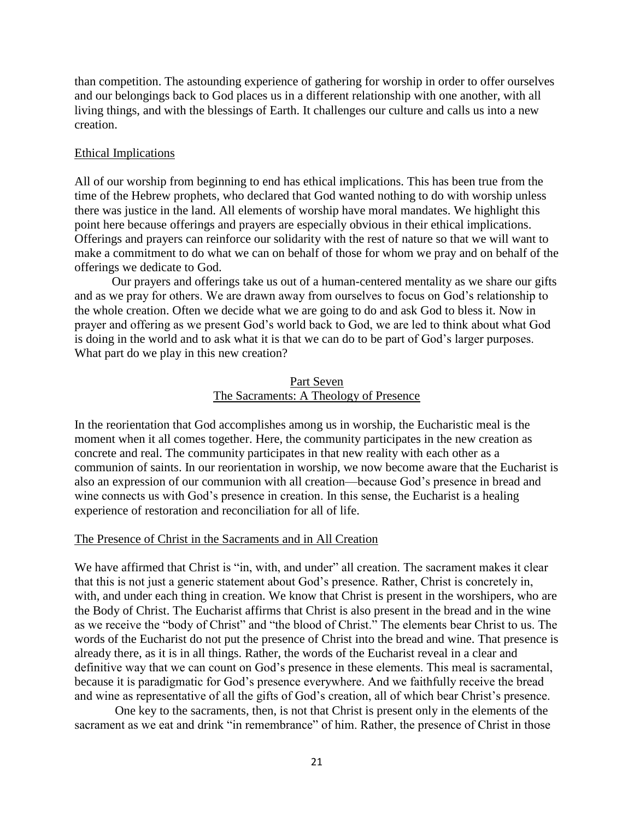than competition. The astounding experience of gathering for worship in order to offer ourselves and our belongings back to God places us in a different relationship with one another, with all living things, and with the blessings of Earth. It challenges our culture and calls us into a new creation.

## Ethical Implications

All of our worship from beginning to end has ethical implications. This has been true from the time of the Hebrew prophets, who declared that God wanted nothing to do with worship unless there was justice in the land. All elements of worship have moral mandates. We highlight this point here because offerings and prayers are especially obvious in their ethical implications. Offerings and prayers can reinforce our solidarity with the rest of nature so that we will want to make a commitment to do what we can on behalf of those for whom we pray and on behalf of the offerings we dedicate to God.

Our prayers and offerings take us out of a human-centered mentality as we share our gifts and as we pray for others. We are drawn away from ourselves to focus on God"s relationship to the whole creation. Often we decide what we are going to do and ask God to bless it. Now in prayer and offering as we present God"s world back to God, we are led to think about what God is doing in the world and to ask what it is that we can do to be part of God's larger purposes. What part do we play in this new creation?

# Part Seven The Sacraments: A Theology of Presence

In the reorientation that God accomplishes among us in worship, the Eucharistic meal is the moment when it all comes together. Here, the community participates in the new creation as concrete and real. The community participates in that new reality with each other as a communion of saints. In our reorientation in worship, we now become aware that the Eucharist is also an expression of our communion with all creation—because God"s presence in bread and wine connects us with God's presence in creation. In this sense, the Eucharist is a healing experience of restoration and reconciliation for all of life.

### The Presence of Christ in the Sacraments and in All Creation

We have affirmed that Christ is "in, with, and under" all creation. The sacrament makes it clear that this is not just a generic statement about God"s presence. Rather, Christ is concretely in, with, and under each thing in creation. We know that Christ is present in the worshipers, who are the Body of Christ. The Eucharist affirms that Christ is also present in the bread and in the wine as we receive the "body of Christ" and "the blood of Christ." The elements bear Christ to us. The words of the Eucharist do not put the presence of Christ into the bread and wine. That presence is already there, as it is in all things. Rather, the words of the Eucharist reveal in a clear and definitive way that we can count on God"s presence in these elements. This meal is sacramental, because it is paradigmatic for God"s presence everywhere. And we faithfully receive the bread and wine as representative of all the gifts of God's creation, all of which bear Christ's presence.

One key to the sacraments, then, is not that Christ is present only in the elements of the sacrament as we eat and drink "in remembrance" of him. Rather, the presence of Christ in those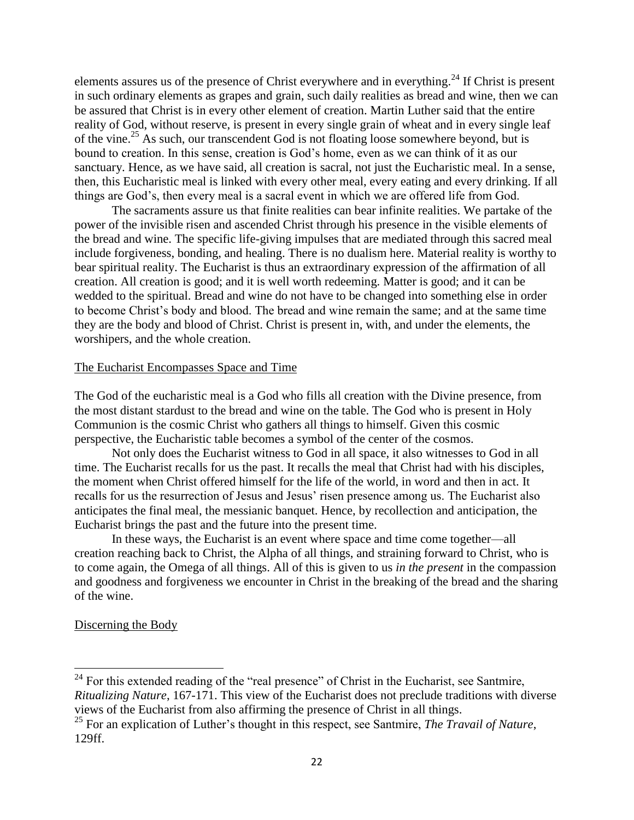elements assures us of the presence of Christ everywhere and in everything.<sup>24</sup> If Christ is present in such ordinary elements as grapes and grain, such daily realities as bread and wine, then we can be assured that Christ is in every other element of creation. Martin Luther said that the entire reality of God, without reserve, is present in every single grain of wheat and in every single leaf of the vine.<sup>25</sup> As such, our transcendent God is not floating loose somewhere beyond, but is bound to creation. In this sense, creation is God"s home, even as we can think of it as our sanctuary. Hence, as we have said, all creation is sacral, not just the Eucharistic meal. In a sense, then, this Eucharistic meal is linked with every other meal, every eating and every drinking. If all things are God"s, then every meal is a sacral event in which we are offered life from God.

The sacraments assure us that finite realities can bear infinite realities. We partake of the power of the invisible risen and ascended Christ through his presence in the visible elements of the bread and wine. The specific life-giving impulses that are mediated through this sacred meal include forgiveness, bonding, and healing. There is no dualism here. Material reality is worthy to bear spiritual reality. The Eucharist is thus an extraordinary expression of the affirmation of all creation. All creation is good; and it is well worth redeeming. Matter is good; and it can be wedded to the spiritual. Bread and wine do not have to be changed into something else in order to become Christ"s body and blood. The bread and wine remain the same; and at the same time they are the body and blood of Christ. Christ is present in, with, and under the elements, the worshipers, and the whole creation.

#### The Eucharist Encompasses Space and Time

The God of the eucharistic meal is a God who fills all creation with the Divine presence, from the most distant stardust to the bread and wine on the table. The God who is present in Holy Communion is the cosmic Christ who gathers all things to himself. Given this cosmic perspective, the Eucharistic table becomes a symbol of the center of the cosmos.

Not only does the Eucharist witness to God in all space, it also witnesses to God in all time. The Eucharist recalls for us the past. It recalls the meal that Christ had with his disciples, the moment when Christ offered himself for the life of the world, in word and then in act. It recalls for us the resurrection of Jesus and Jesus' risen presence among us. The Eucharist also anticipates the final meal, the messianic banquet. Hence, by recollection and anticipation, the Eucharist brings the past and the future into the present time.

In these ways, the Eucharist is an event where space and time come together—all creation reaching back to Christ, the Alpha of all things, and straining forward to Christ, who is to come again, the Omega of all things. All of this is given to us *in the present* in the compassion and goodness and forgiveness we encounter in Christ in the breaking of the bread and the sharing of the wine.

### Discerning the Body

l

 $24$  For this extended reading of the "real presence" of Christ in the Eucharist, see Santmire, *Ritualizing Nature*, 167-171. This view of the Eucharist does not preclude traditions with diverse views of the Eucharist from also affirming the presence of Christ in all things.

<sup>&</sup>lt;sup>25</sup> For an explication of Luther's thought in this respect, see Santmire, *The Travail of Nature*, 129ff.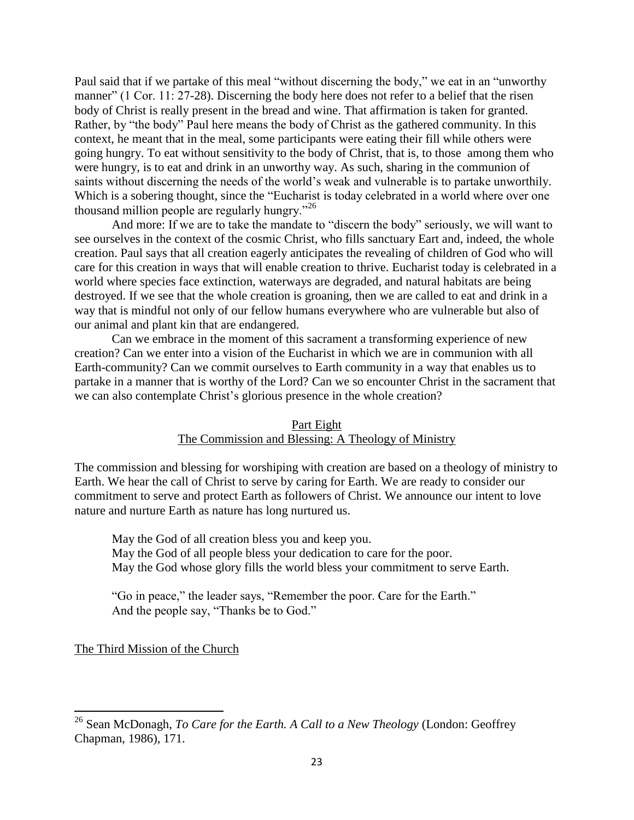Paul said that if we partake of this meal "without discerning the body," we eat in an "unworthy manner" (1 Cor. 11: 27-28). Discerning the body here does not refer to a belief that the risen body of Christ is really present in the bread and wine. That affirmation is taken for granted. Rather, by "the body" Paul here means the body of Christ as the gathered community. In this context, he meant that in the meal, some participants were eating their fill while others were going hungry. To eat without sensitivity to the body of Christ, that is, to those among them who were hungry, is to eat and drink in an unworthy way. As such, sharing in the communion of saints without discerning the needs of the world"s weak and vulnerable is to partake unworthily. Which is a sobering thought, since the "Eucharist is today celebrated in a world where over one thousand million people are regularly hungry."<sup>26</sup>

And more: If we are to take the mandate to "discern the body" seriously, we will want to see ourselves in the context of the cosmic Christ, who fills sanctuary Eart and, indeed, the whole creation. Paul says that all creation eagerly anticipates the revealing of children of God who will care for this creation in ways that will enable creation to thrive. Eucharist today is celebrated in a world where species face extinction, waterways are degraded, and natural habitats are being destroyed. If we see that the whole creation is groaning, then we are called to eat and drink in a way that is mindful not only of our fellow humans everywhere who are vulnerable but also of our animal and plant kin that are endangered.

Can we embrace in the moment of this sacrament a transforming experience of new creation? Can we enter into a vision of the Eucharist in which we are in communion with all Earth-community? Can we commit ourselves to Earth community in a way that enables us to partake in a manner that is worthy of the Lord? Can we so encounter Christ in the sacrament that we can also contemplate Christ's glorious presence in the whole creation?

# Part Eight The Commission and Blessing: A Theology of Ministry

The commission and blessing for worshiping with creation are based on a theology of ministry to Earth. We hear the call of Christ to serve by caring for Earth. We are ready to consider our commitment to serve and protect Earth as followers of Christ. We announce our intent to love nature and nurture Earth as nature has long nurtured us.

May the God of all creation bless you and keep you. May the God of all people bless your dedication to care for the poor. May the God whose glory fills the world bless your commitment to serve Earth.

"Go in peace," the leader says, "Remember the poor. Care for the Earth." And the people say, "Thanks be to God."

The Third Mission of the Church

 $\overline{\phantom{a}}$ 

<sup>26</sup> Sean McDonagh, *To Care for the Earth. A Call to a New Theology* (London: Geoffrey Chapman, 1986), 171.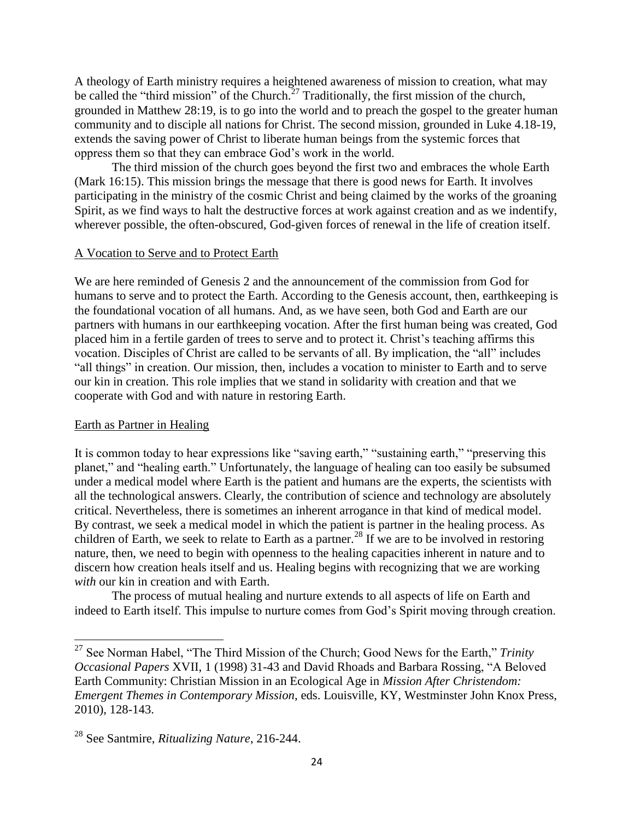A theology of Earth ministry requires a heightened awareness of mission to creation, what may be called the "third mission" of the Church.<sup>27</sup> Traditionally, the first mission of the church, grounded in Matthew 28:19, is to go into the world and to preach the gospel to the greater human community and to disciple all nations for Christ. The second mission, grounded in Luke 4.18-19, extends the saving power of Christ to liberate human beings from the systemic forces that oppress them so that they can embrace God"s work in the world.

The third mission of the church goes beyond the first two and embraces the whole Earth (Mark 16:15). This mission brings the message that there is good news for Earth. It involves participating in the ministry of the cosmic Christ and being claimed by the works of the groaning Spirit, as we find ways to halt the destructive forces at work against creation and as we indentify, wherever possible, the often-obscured, God-given forces of renewal in the life of creation itself.

## A Vocation to Serve and to Protect Earth

We are here reminded of Genesis 2 and the announcement of the commission from God for humans to serve and to protect the Earth. According to the Genesis account, then, earthkeeping is the foundational vocation of all humans. And, as we have seen, both God and Earth are our partners with humans in our earthkeeping vocation. After the first human being was created, God placed him in a fertile garden of trees to serve and to protect it. Christ"s teaching affirms this vocation. Disciples of Christ are called to be servants of all. By implication, the "all" includes "all things" in creation. Our mission, then, includes a vocation to minister to Earth and to serve our kin in creation. This role implies that we stand in solidarity with creation and that we cooperate with God and with nature in restoring Earth.

# Earth as Partner in Healing

 $\overline{\phantom{a}}$ 

It is common today to hear expressions like "saving earth," "sustaining earth," "preserving this planet," and "healing earth." Unfortunately, the language of healing can too easily be subsumed under a medical model where Earth is the patient and humans are the experts, the scientists with all the technological answers. Clearly, the contribution of science and technology are absolutely critical. Nevertheless, there is sometimes an inherent arrogance in that kind of medical model. By contrast, we seek a medical model in which the patient is partner in the healing process. As children of Earth, we seek to relate to Earth as a partner.<sup>28</sup> If we are to be involved in restoring nature, then, we need to begin with openness to the healing capacities inherent in nature and to discern how creation heals itself and us. Healing begins with recognizing that we are working *with* our kin in creation and with Earth.

The process of mutual healing and nurture extends to all aspects of life on Earth and indeed to Earth itself. This impulse to nurture comes from God"s Spirit moving through creation.

<sup>27</sup> See Norman Habel, "The Third Mission of the Church; Good News for the Earth," *Trinity Occasional Papers* XVII, 1 (1998) 31-43 and David Rhoads and Barbara Rossing, "A Beloved Earth Community: Christian Mission in an Ecological Age in *Mission After Christendom: Emergent Themes in Contemporary Mission*, eds. Louisville, KY, Westminster John Knox Press, 2010), 128-143.

<sup>28</sup> See Santmire, *Ritualizing Nature*, 216-244.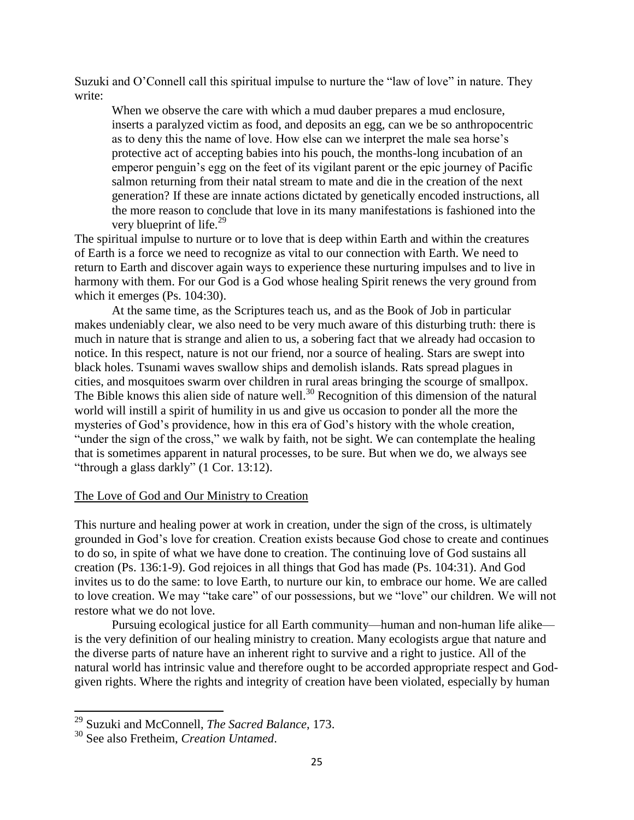Suzuki and O"Connell call this spiritual impulse to nurture the "law of love" in nature. They write:

When we observe the care with which a mud dauber prepares a mud enclosure, inserts a paralyzed victim as food, and deposits an egg, can we be so anthropocentric as to deny this the name of love. How else can we interpret the male sea horse"s protective act of accepting babies into his pouch, the months-long incubation of an emperor penguin's egg on the feet of its vigilant parent or the epic journey of Pacific salmon returning from their natal stream to mate and die in the creation of the next generation? If these are innate actions dictated by genetically encoded instructions, all the more reason to conclude that love in its many manifestations is fashioned into the very blueprint of life. $^{29}$ 

The spiritual impulse to nurture or to love that is deep within Earth and within the creatures of Earth is a force we need to recognize as vital to our connection with Earth. We need to return to Earth and discover again ways to experience these nurturing impulses and to live in harmony with them. For our God is a God whose healing Spirit renews the very ground from which it emerges (Ps. 104:30).

At the same time, as the Scriptures teach us, and as the Book of Job in particular makes undeniably clear, we also need to be very much aware of this disturbing truth: there is much in nature that is strange and alien to us, a sobering fact that we already had occasion to notice. In this respect, nature is not our friend, nor a source of healing. Stars are swept into black holes. Tsunami waves swallow ships and demolish islands. Rats spread plagues in cities, and mosquitoes swarm over children in rural areas bringing the scourge of smallpox. The Bible knows this alien side of nature well.<sup>30</sup> Recognition of this dimension of the natural world will instill a spirit of humility in us and give us occasion to ponder all the more the mysteries of God"s providence, how in this era of God"s history with the whole creation, "under the sign of the cross," we walk by faith, not be sight. We can contemplate the healing that is sometimes apparent in natural processes, to be sure. But when we do, we always see "through a glass darkly" (1 Cor. 13:12).

### The Love of God and Our Ministry to Creation

This nurture and healing power at work in creation, under the sign of the cross, is ultimately grounded in God"s love for creation. Creation exists because God chose to create and continues to do so, in spite of what we have done to creation. The continuing love of God sustains all creation (Ps. 136:1-9). God rejoices in all things that God has made (Ps. 104:31). And God invites us to do the same: to love Earth, to nurture our kin, to embrace our home. We are called to love creation. We may "take care" of our possessions, but we "love" our children. We will not restore what we do not love.

Pursuing ecological justice for all Earth community—human and non-human life alike is the very definition of our healing ministry to creation. Many ecologists argue that nature and the diverse parts of nature have an inherent right to survive and a right to justice. All of the natural world has intrinsic value and therefore ought to be accorded appropriate respect and Godgiven rights. Where the rights and integrity of creation have been violated, especially by human

 $\overline{\phantom{a}}$ 

<sup>29</sup> Suzuki and McConnell, *The Sacred Balance*, 173.

<sup>30</sup> See also Fretheim, *Creation Untamed*.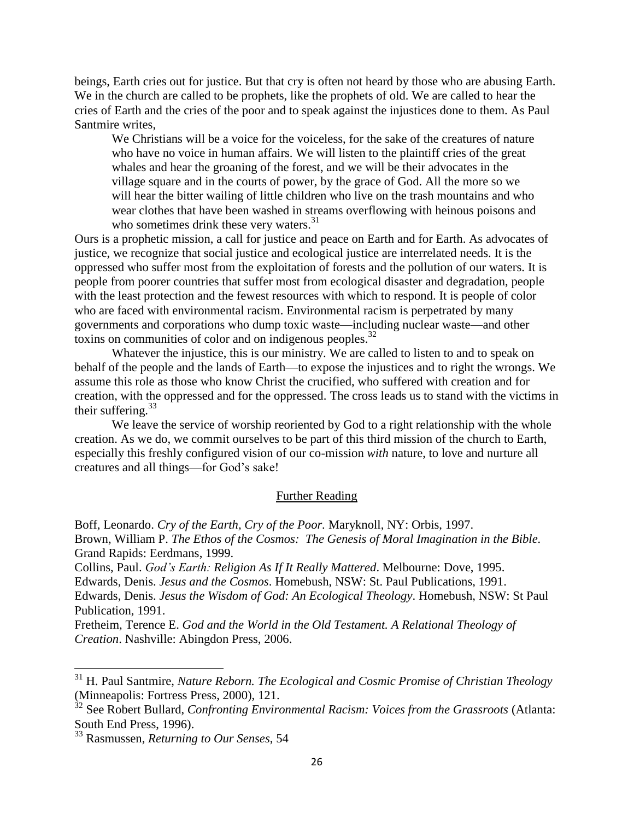beings, Earth cries out for justice. But that cry is often not heard by those who are abusing Earth. We in the church are called to be prophets, like the prophets of old. We are called to hear the cries of Earth and the cries of the poor and to speak against the injustices done to them. As Paul Santmire writes,

We Christians will be a voice for the voiceless, for the sake of the creatures of nature who have no voice in human affairs. We will listen to the plaintiff cries of the great whales and hear the groaning of the forest, and we will be their advocates in the village square and in the courts of power, by the grace of God. All the more so we will hear the bitter wailing of little children who live on the trash mountains and who wear clothes that have been washed in streams overflowing with heinous poisons and who sometimes drink these very waters. $31$ 

Ours is a prophetic mission, a call for justice and peace on Earth and for Earth. As advocates of justice, we recognize that social justice and ecological justice are interrelated needs. It is the oppressed who suffer most from the exploitation of forests and the pollution of our waters. It is people from poorer countries that suffer most from ecological disaster and degradation, people with the least protection and the fewest resources with which to respond. It is people of color who are faced with environmental racism. Environmental racism is perpetrated by many governments and corporations who dump toxic waste—including nuclear waste—and other toxins on communities of color and on indigenous peoples.<sup>32</sup>

Whatever the injustice, this is our ministry. We are called to listen to and to speak on behalf of the people and the lands of Earth—to expose the injustices and to right the wrongs. We assume this role as those who know Christ the crucified, who suffered with creation and for creation, with the oppressed and for the oppressed. The cross leads us to stand with the victims in their suffering.<sup>33</sup>

We leave the service of worship reoriented by God to a right relationship with the whole creation. As we do, we commit ourselves to be part of this third mission of the church to Earth, especially this freshly configured vision of our co-mission *with* nature, to love and nurture all creatures and all things—for God"s sake!

### Further Reading

Boff, Leonardo. *Cry of the Earth, Cry of the Poor.* Maryknoll, NY: Orbis, 1997. Brown, William P. *The Ethos of the Cosmos: The Genesis of Moral Imagination in the Bible.* Grand Rapids: Eerdmans, 1999.

Collins, Paul. *God's Earth: Religion As If It Really Mattered*. Melbourne: Dove, 1995. Edwards, Denis. *Jesus and the Cosmos*. Homebush, NSW: St. Paul Publications, 1991.

Edwards, Denis. *Jesus the Wisdom of God: An Ecological Theology*. Homebush, NSW: St Paul Publication, 1991.

Fretheim, Terence E. *God and the World in the Old Testament. A Relational Theology of Creation*. Nashville: Abingdon Press, 2006.

l

<sup>31</sup> H. Paul Santmire, *Nature Reborn. The Ecological and Cosmic Promise of Christian Theology* (Minneapolis: Fortress Press, 2000), 121.

<sup>32</sup> See Robert Bullard, *Confronting Environmental Racism: Voices from the Grassroots* (Atlanta: South End Press, 1996).

<sup>33</sup> Rasmussen, *Returning to Our Senses*, 54